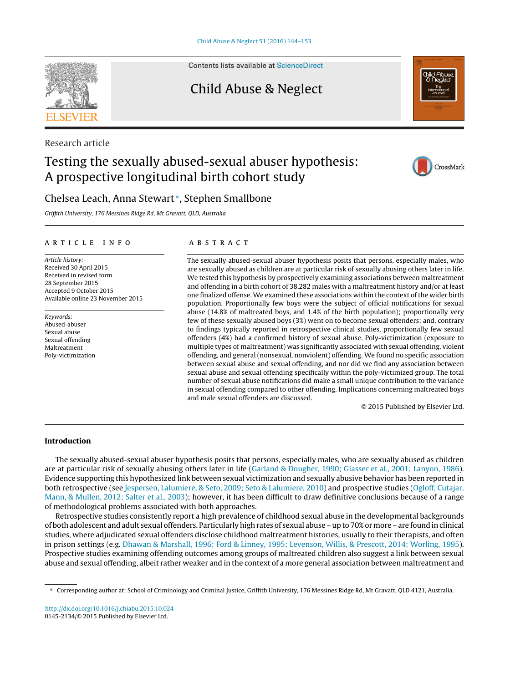Contents lists available at [ScienceDirect](http://www.sciencedirect.com/science/journal/01452134)

# Child Abuse & Neglect

# Testing the sexually abused-sexual abuser hypothesis: A prospective longitudinal birth cohort study

# Chelsea Leach, Anna Stewart <sup>∗</sup>, Stephen Smallbone

Griffith University, 176 Messines Ridge Rd, Mt Gravatt, QLD, Australia

# a r t i c l e i n f o

Article history: Received 30 April 2015 Received in revised form 28 September 2015 Accepted 9 October 2015 Available online 23 November 2015

Keywords: Abused-abuser Sexual abuse Sexual offending Maltreatment Poly-victimization

# A B S T R A C T

The sexually abused-sexual abuser hypothesis posits that persons, especially males, who are sexually abused as children are at particular risk of sexually abusing others later in life. We tested this hypothesis by prospectively examining associations between maltreatment and offending in a birth cohort of 38,282 males with a maltreatment history and/or at least one finalized offense. We examined these associations within the context of the wider birth population. Proportionally few boys were the subject of official notifications for sexual abuse (14.8% of maltreated boys, and 1.4% of the birth population); proportionally very few of these sexually abused boys (3%) went on to become sexual offenders; and, contrary to findings typically reported in retrospective clinical studies, proportionally few sexual offenders (4%) had a confirmed history of sexual abuse. Poly-victimization (exposure to multiple types of maltreatment) was significantly associated with sexual offending, violent offending, and general (nonsexual, nonviolent) offending. We found no specific association between sexual abuse and sexual offending, and nor did we find any association between sexual abuse and sexual offending specifically within the poly-victimized group. The total number of sexual abuse notifications did make a small unique contribution to the variance in sexual offending compared to other offending. Implications concerning maltreated boys and male sexual offenders are discussed.

© 2015 Published by Elsevier Ltd.

## **Introduction**

The sexually abused-sexual abuser hypothesis posits that persons, especially males, who are sexually abused as children are at particular risk of sexually abusing others later in life [\(Garland](#page-8-0) [&](#page-8-0) [Dougher,](#page-8-0) [1990;](#page-8-0) [Glasser](#page-8-0) et [al.,](#page-8-0) [2001;](#page-8-0) [Lanyon,](#page-8-0) [1986\).](#page-8-0) Evidence supporting this hypothesized link between sexual victimization and sexually abusive behavior has been reported in both retrospective (see [Jespersen,](#page-8-0) [Lalumiere,](#page-8-0) [&](#page-8-0) [Seto,](#page-8-0) [2009;](#page-8-0) [Seto](#page-8-0) & Lalumiere, [2010\)](#page-8-0) and prospective studies [\(Ogloff,](#page-8-0) [Cutajar,](#page-8-0) [Mann,](#page-8-0) [&](#page-8-0) [Mullen,](#page-8-0) [2012;](#page-8-0) [Salter](#page-8-0) et [al.,](#page-8-0) [2003\);](#page-8-0) however, it has been difficult to draw definitive conclusions because of a range of methodological problems associated with both approaches.

Retrospective studies consistently report a high prevalence of childhood sexual abuse in the developmental backgrounds of both adolescent and adult sexual offenders. Particularly high rates of sexual abuse – up to 70% or more – are found in clinical studies, where adjudicated sexual offenders disclose childhood maltreatment histories, usually to their therapists, and often in prison settings (e.g. [Dhawan](#page-8-0) [&](#page-8-0) [Marshall,](#page-8-0) [1996;](#page-8-0) [Ford](#page-8-0) [&](#page-8-0) [Linney,](#page-8-0) [1995;](#page-8-0) [Levenson,](#page-8-0) [Willis,](#page-8-0) [&](#page-8-0) [Prescott,](#page-8-0) [2014;](#page-8-0) [Worling,](#page-8-0) [1995\).](#page-8-0) Prospective studies examining offending outcomes among groups of maltreated children also suggest a link between sexual abuse and sexual offending, albeit rather weaker and in the context of a more general association between maltreatment and

Research article







<sup>∗</sup> Corresponding author at: School of Criminology and Criminal Justice, Griffith University, 176 Messines Ridge Rd, Mt Gravatt, QLD 4121, Australia.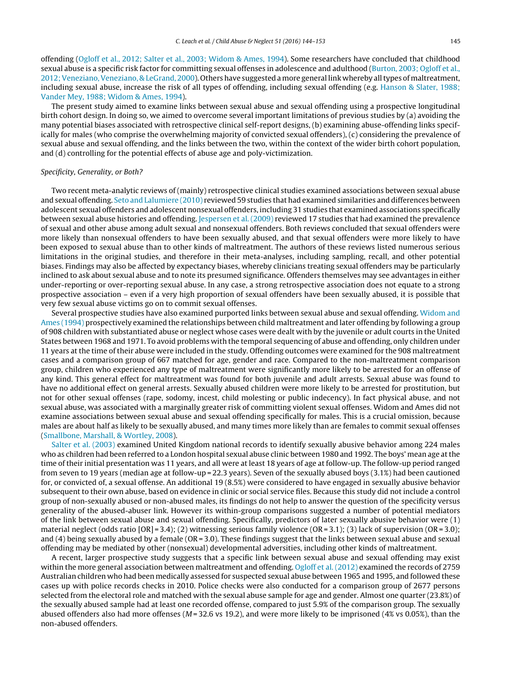offending ([Ogloff](#page-8-0) et [al.,](#page-8-0) [2012;](#page-8-0) [Salter](#page-8-0) et [al.,](#page-8-0) [2003;](#page-8-0) [Widom](#page-8-0) [&](#page-8-0) [Ames,](#page-8-0) [1994\).](#page-8-0) Some researchers have concluded that childhood sexual abuse is a specific risk factor for committing sexual offenses in adolescence and adulthood [\(Burton,](#page-8-0) [2003;](#page-8-0) [Ogloff](#page-8-0) et [al.,](#page-8-0) [2012;Veneziano,Veneziano,](#page-8-0) [&](#page-8-0) [LeGrand,](#page-8-0) [2000\).](#page-8-0) Others have suggested amore general link whereby alltypes ofmaltreatment, including sexual abuse, increase the risk of all types of offending, including sexual offending (e.g. [Hanson](#page-8-0) [&](#page-8-0) [Slater,](#page-8-0) [1988;](#page-8-0) [Vander](#page-8-0) [Mey,](#page-8-0) [1988;](#page-8-0) [Widom](#page-8-0) [&](#page-8-0) [Ames,](#page-8-0) [1994\).](#page-8-0)

The present study aimed to examine links between sexual abuse and sexual offending using a prospective longitudinal birth cohort design. In doing so, we aimed to overcome several important limitations of previous studies by (a) avoiding the many potential biases associated with retrospective clinical self-report designs, (b) examining abuse-offending links specifically for males (who comprise the overwhelming majority of convicted sexual offenders), (c) considering the prevalence of sexual abuse and sexual offending, and the links between the two, within the context of the wider birth cohort population, and (d) controlling for the potential effects of abuse age and poly-victimization.

#### Specificity, Generality, or Both?

Two recent meta-analytic reviews of (mainly) retrospective clinical studies examined associations between sexual abuse and sexual offending. [Seto](#page-8-0) [and](#page-8-0) [Lalumiere](#page-8-0) [\(2010\)](#page-8-0) reviewed 59 studies that had examined similarities and differences between adolescent sexual offenders and adolescent nonsexual offenders, including 31 studies that examined associations specifically between sexual abuse histories and offending. [Jespersen](#page-8-0) et [al.](#page-8-0) [\(2009\)](#page-8-0) reviewed 17 studies that had examined the prevalence of sexual and other abuse among adult sexual and nonsexual offenders. Both reviews concluded that sexual offenders were more likely than nonsexual offenders to have been sexually abused, and that sexual offenders were more likely to have been exposed to sexual abuse than to other kinds of maltreatment. The authors of these reviews listed numerous serious limitations in the original studies, and therefore in their meta-analyses, including sampling, recall, and other potential biases. Findings may also be affected by expectancy biases, whereby clinicians treating sexual offenders may be particularly inclined to ask about sexual abuse and to note its presumed significance. Offenders themselves may see advantages in either under-reporting or over-reporting sexual abuse. In any case, a strong retrospective association does not equate to a strong prospective association – even if a very high proportion of sexual offenders have been sexually abused, it is possible that very few sexual abuse victims go on to commit sexual offenses.

Several prospective studies have also examined purported links between sexual abuse and sexual offending. [Widom](#page-9-0) [and](#page-9-0) [Ames](#page-9-0) [\(1994\)](#page-9-0) prospectively examined the relationships between child maltreatment and later offending by following a group of 908 children with substantiated abuse or neglect whose cases were dealt with by the juvenile or adult courts in the United States between 1968 and 1971. To avoid problems with the temporal sequencing of abuse and offending, only children under 11 years at the time of their abuse were included in the study. Offending outcomes were examined for the 908 maltreatment cases and a comparison group of 667 matched for age, gender and race. Compared to the non-maltreatment comparison group, children who experienced any type of maltreatment were significantly more likely to be arrested for an offense of any kind. This general effect for maltreatment was found for both juvenile and adult arrests. Sexual abuse was found to have no additional effect on general arrests. Sexually abused children were more likely to be arrested for prostitution, but not for other sexual offenses (rape, sodomy, incest, child molesting or public indecency). In fact physical abuse, and not sexual abuse, was associated with a marginally greater risk of committing violent sexual offenses. Widom and Ames did not examine associations between sexual abuse and sexual offending specifically for males. This is a crucial omission, because males are about half as likely to be sexually abused, and many times more likely than are females to commit sexual offenses [\(Smallbone,](#page-8-0) [Marshall,](#page-8-0) [&](#page-8-0) [Wortley,](#page-8-0) [2008\).](#page-8-0)

[Salter](#page-8-0) et [al.](#page-8-0) [\(2003\)](#page-8-0) examined United Kingdom national records to identify sexually abusive behavior among 224 males who as children had been referred to a London hospital sexual abuse clinic between 1980 and 1992. The boys' mean age atthe time of their initial presentation was 11 years, and all were at least 18 years of age at follow-up. The follow-up period ranged from seven to 19 years (median age at follow-up = 22.3 years). Seven of the sexually abused boys (3.1%) had been cautioned for, or convicted of, a sexual offense. An additional 19 (8.5%) were considered to have engaged in sexually abusive behavior subsequent to their own abuse, based on evidence in clinic or social service files. Because this study did not include a control group of non-sexually abused or non-abused males, its findings do not help to answer the question of the specificity versus generality of the abused-abuser link. However its within-group comparisons suggested a number of potential mediators of the link between sexual abuse and sexual offending. Specifically, predictors of later sexually abusive behavior were (1) material neglect (odds ratio  $[OR] = 3.4$ ); (2) witnessing serious family violence  $(OR = 3.1)$ ; (3) lack of supervision  $(OR = 3.0)$ ; and (4) being sexually abused by a female (OR = 3.0). These findings suggest that the links between sexual abuse and sexual offending may be mediated by other (nonsexual) developmental adversities, including other kinds of maltreatment.

A recent, larger prospective study suggests that a specific link between sexual abuse and sexual offending may exist within the more general association between maltreatment and offending. [Ogloff](#page-8-0) et [al.](#page-8-0) [\(2012\)](#page-8-0) examined the records of 2759 Australian children who had been medically assessed for suspected sexual abuse between 1965 and 1995, and followed these cases up with police records checks in 2010. Police checks were also conducted for a comparison group of 2677 persons selected from the electoral role and matched with the sexual abuse sample for age and gender. Almost one quarter (23.8%) of the sexually abused sample had at least one recorded offense, compared to just 5.9% of the comparison group. The sexually abused offenders also had more offenses ( $M = 32.6$  vs 19.2), and were more likely to be imprisoned ( $4\%$  vs 0.05%), than the non-abused offenders.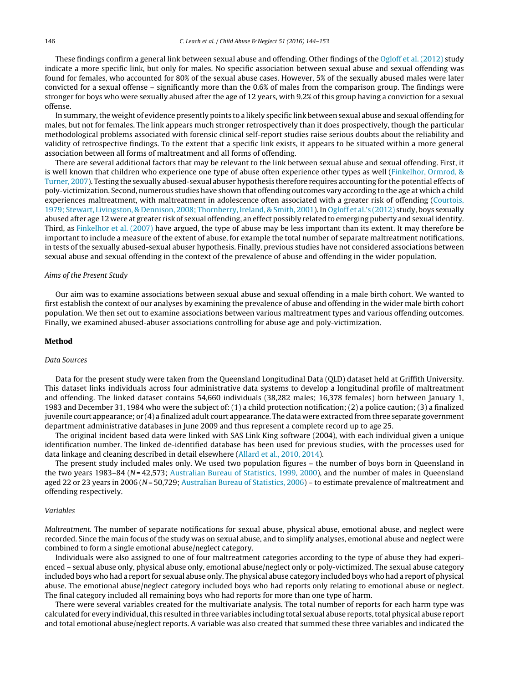These findings confirm a general link between sexual abuse and offending. Other findings of the [Ogloff](#page-8-0) et [al.](#page-8-0) [\(2012\)](#page-8-0) study indicate a more specific link, but only for males. No specific association between sexual abuse and sexual offending was found for females, who accounted for 80% of the sexual abuse cases. However, 5% of the sexually abused males were later convicted for a sexual offense – significantly more than the 0.6% of males from the comparison group. The findings were stronger for boys who were sexually abused after the age of 12 years, with 9.2% of this group having a conviction for a sexual offense.

In summary,the weight of evidence presently points to a likely specific link between sexual abuse and sexual offending for males, but not for females. The link appears much stronger retrospectively than it does prospectively, though the particular methodological problems associated with forensic clinical self-report studies raise serious doubts about the reliability and validity of retrospective findings. To the extent that a specific link exists, it appears to be situated within a more general association between all forms of maltreatment and all forms of offending.

There are several additional factors that may be relevant to the link between sexual abuse and sexual offending. First, it is well known that children who experience one type of abuse often experience other types as well ([Finkelhor,](#page-8-0) [Ormrod,](#page-8-0) [&](#page-8-0) [Turner,](#page-8-0) [2007\).](#page-8-0) Testing the sexually abused-sexual abuser hypothesis therefore requires accounting for the potential effects of poly-victimization. Second, numerous studies have shown that offending outcomes vary according to the age at which a child experiences maltreatment, with maltreatment in adolescence often associated with a greater risk of offending ([Courtois,](#page-8-0) [1979;](#page-8-0) [Stewart,](#page-8-0) [Livingston,](#page-8-0) [&](#page-8-0) [Dennison,](#page-8-0) [2008;](#page-8-0) [Thornberry,](#page-8-0) [Ireland,](#page-8-0) [&](#page-8-0) [Smith,](#page-8-0) [2001\).](#page-8-0) In [Ogloff](#page-8-0) et [al.'s](#page-8-0) [\(2012\)](#page-8-0) study, boys sexually abused after age 12 were at greater risk of sexual offending, an effect possibly related to emerging puberty and sexual identity. Third, as [Finkelhor](#page-8-0) et [al.](#page-8-0) [\(2007\)](#page-8-0) have argued, the type of abuse may be less important than its extent. It may therefore be important to include a measure of the extent of abuse, for example the total number of separate maltreatment notifications, in tests of the sexually abused-sexual abuser hypothesis. Finally, previous studies have not considered associations between sexual abuse and sexual offending in the context of the prevalence of abuse and offending in the wider population.

#### Aims of the Present Study

Our aim was to examine associations between sexual abuse and sexual offending in a male birth cohort. We wanted to first establish the context of our analyses by examining the prevalence of abuse and offending in the wider male birth cohort population. We then set out to examine associations between various maltreatment types and various offending outcomes. Finally, we examined abused-abuser associations controlling for abuse age and poly-victimization.

#### **Method**

# Data Sources

Data for the present study were taken from the Queensland Longitudinal Data (QLD) dataset held at Griffith University. This dataset links individuals across four administrative data systems to develop a longitudinal profile of maltreatment and offending. The linked dataset contains 54,660 individuals (38,282 males; 16,378 females) born between January 1, 1983 and December 31, 1984 who were the subject of: (1) a child protection notification; (2) a police caution; (3) a finalized juvenile court appearance; or (4) a finalized adult court appearance. The data were extracted from three separate government department administrative databases in June 2009 and thus represent a complete record up to age 25.

The original incident based data were linked with SAS Link King software (2004), with each individual given a unique identification number. The linked de-identified database has been used for previous studies, with the processes used for data linkage and cleaning described in detail elsewhere ([Allard](#page-8-0) et [al.,](#page-8-0) [2010,](#page-8-0) [2014\).](#page-8-0)

The present study included males only. We used two population figures – the number of boys born in Queensland in the two years 1983–84 (N=42,573; [Australian](#page-8-0) [Bureau](#page-8-0) [of](#page-8-0) [Statistics,](#page-8-0) [1999,](#page-8-0) [2000\),](#page-8-0) and the number of males in Queensland aged 22 or 23 years in 2006 (N = 50,729; [Australian](#page-8-0) [Bureau](#page-8-0) [of](#page-8-0) [Statistics,](#page-8-0) [2006\)](#page-8-0) – to estimate prevalence of maltreatment and offending respectively.

#### Variables

Maltreatment. The number of separate notifications for sexual abuse, physical abuse, emotional abuse, and neglect were recorded. Since the main focus of the study was on sexual abuse, and to simplify analyses, emotional abuse and neglect were combined to form a single emotional abuse/neglect category.

Individuals were also assigned to one of four maltreatment categories according to the type of abuse they had experienced – sexual abuse only, physical abuse only, emotional abuse/neglect only or poly-victimized. The sexual abuse category included boys who had a report for sexual abuse only. The physical abuse category included boys who had a report of physical abuse. The emotional abuse/neglect category included boys who had reports only relating to emotional abuse or neglect. The final category included all remaining boys who had reports for more than one type of harm.

There were several variables created for the multivariate analysis. The total number of reports for each harm type was calculated for every individual, this resulted in three variables including total sexual abuse reports, total physical abuse report and total emotional abuse/neglect reports. A variable was also created that summed these three variables and indicated the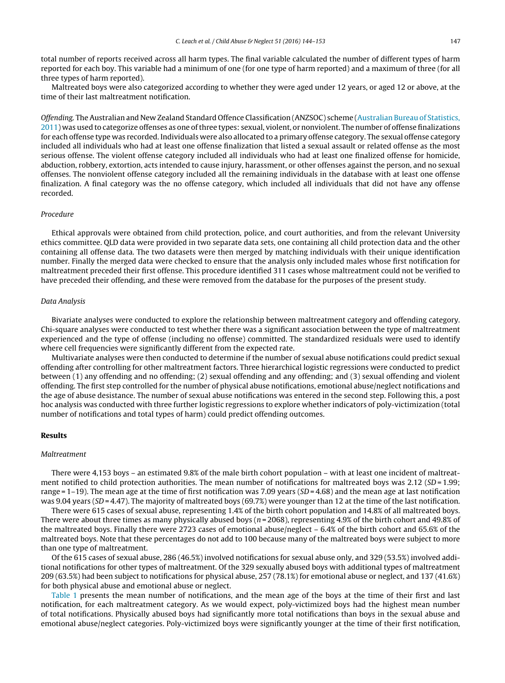total number of reports received across all harm types. The final variable calculated the number of different types of harm reported for each boy. This variable had a minimum of one (for one type of harm reported) and a maximum of three (for all three types of harm reported).

Maltreated boys were also categorized according to whether they were aged under 12 years, or aged 12 or above, at the time of their last maltreatment notification.

Offending. The Australian and New Zealand Standard Offence Classification (ANZSOC) scheme ([Australian](#page-8-0) [Bureau](#page-8-0) [of](#page-8-0) [Statistics,](#page-8-0) [2011\)](#page-8-0) was used to categorize offenses as one ofthree types: sexual, violent, or nonviolent. The number of offense finalizations for each offense type was recorded. Individuals were also allocated to a primary offense category. The sexual offense category included all individuals who had at least one offense finalization that listed a sexual assault or related offense as the most serious offense. The violent offense category included all individuals who had at least one finalized offense for homicide, abduction, robbery, extortion, acts intended to cause injury, harassment, or other offenses against the person, and no sexual offenses. The nonviolent offense category included all the remaining individuals in the database with at least one offense finalization. A final category was the no offense category, which included all individuals that did not have any offense recorded.

#### Procedure

Ethical approvals were obtained from child protection, police, and court authorities, and from the relevant University ethics committee. QLD data were provided in two separate data sets, one containing all child protection data and the other containing all offense data. The two datasets were then merged by matching individuals with their unique identification number. Finally the merged data were checked to ensure that the analysis only included males whose first notification for maltreatment preceded their first offense. This procedure identified 311 cases whose maltreatment could not be verified to have preceded their offending, and these were removed from the database for the purposes of the present study.

### Data Analysis

Bivariate analyses were conducted to explore the relationship between maltreatment category and offending category. Chi-square analyses were conducted to test whether there was a significant association between the type of maltreatment experienced and the type of offense (including no offense) committed. The standardized residuals were used to identify where cell frequencies were significantly different from the expected rate.

Multivariate analyses were then conducted to determine if the number of sexual abuse notifications could predict sexual offending after controlling for other maltreatment factors. Three hierarchical logistic regressions were conducted to predict between (1) any offending and no offending; (2) sexual offending and any offending; and (3) sexual offending and violent offending. The first step controlled for the number of physical abuse notifications, emotional abuse/neglect notifications and the age of abuse desistance. The number of sexual abuse notifications was entered in the second step. Following this, a post hoc analysis was conducted with three further logistic regressions to explore whether indicators of poly-victimization (total number of notifications and total types of harm) could predict offending outcomes.

#### **Results**

#### Maltreatment

There were 4,153 boys – an estimated 9.8% of the male birth cohort population – with at least one incident of maltreatment notified to child protection authorities. The mean number of notifications for maltreated boys was 2.12 (SD=1.99; range =  $1-19$ ). The mean age at the time of first notification was 7.09 years (SD = 4.68) and the mean age at last notification was 9.04 years ( $SD = 4.47$ ). The majority of maltreated boys (69.7%) were younger than 12 at the time of the last notification.

There were 615 cases of sexual abuse, representing 1.4% of the birth cohort population and 14.8% of all maltreated boys. There were about three times as many physically abused boys ( $n = 2068$ ), representing 4.9% of the birth cohort and 49.8% of the maltreated boys. Finally there were 2723 cases of emotional abuse/neglect – 6.4% of the birth cohort and 65.6% of the maltreated boys. Note that these percentages do not add to 100 because many of the maltreated boys were subject to more than one type of maltreatment.

Of the 615 cases of sexual abuse, 286 (46.5%) involved notifications for sexual abuse only, and 329 (53.5%) involved additional notifications for other types of maltreatment. Of the 329 sexually abused boys with additional types of maltreatment 209 (63.5%) had been subject to notifications for physical abuse, 257 (78.1%) for emotional abuse or neglect, and 137 (41.6%) for both physical abuse and emotional abuse or neglect.

[Table](#page-4-0) 1 presents the mean number of notifications, and the mean age of the boys at the time of their first and last notification, for each maltreatment category. As we would expect, poly-victimized boys had the highest mean number of total notifications. Physically abused boys had significantly more total notifications than boys in the sexual abuse and emotional abuse/neglect categories. Poly-victimized boys were significantly younger at the time of their first notification,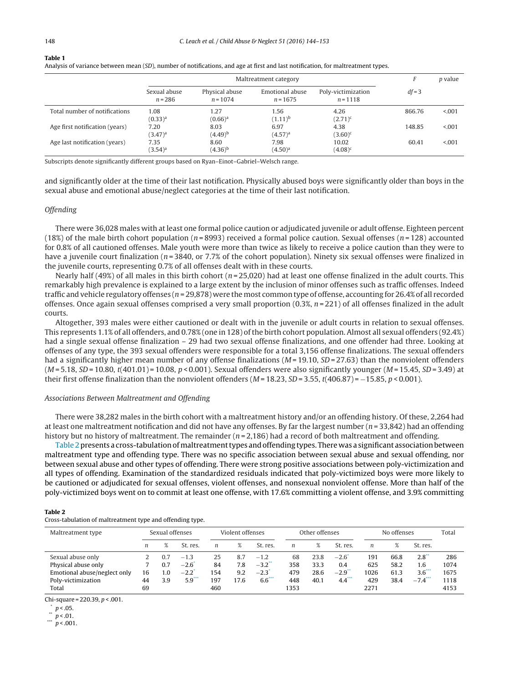#### <span id="page-4-0"></span>**Table 1**

|  |  |  |  |  | Analysis of variance between mean (SD), number of notifications, and age at first and last notification, for maltreatment types. |
|--|--|--|--|--|----------------------------------------------------------------------------------------------------------------------------------|
|--|--|--|--|--|----------------------------------------------------------------------------------------------------------------------------------|

|                                |                                    | F                                    | <i>p</i> value                       |                                   |          |         |
|--------------------------------|------------------------------------|--------------------------------------|--------------------------------------|-----------------------------------|----------|---------|
|                                | Sexual abuse<br>$n = 286$          | Physical abuse<br>$n = 1074$         | Emotional abuse<br>$n = 1675$        | Poly-victimization<br>$n = 1118$  | $df = 3$ |         |
| Total number of notifications  | 1.08                               | 1.27                                 | 1.56                                 | 4.26                              | 866.76   | < 0.001 |
| Age first notification (years) | $(0.33)^a$<br>7.20                 | $(0.66)^a$<br>8.03                   | $(1.11)^{b}$<br>6.97                 | $(2.71)^c$<br>4.38                | 148.85   | < 0.001 |
| Age last notification (years)  | $(3.47)^a$<br>7.35<br>$(3.54)^{a}$ | $(4.49)^{b}$<br>8.60<br>$(4.36)^{b}$ | $(4.57)^{a}$<br>7.98<br>$(4.50)^{a}$ | $(3.60)^c$<br>10.02<br>$(4.08)^c$ | 60.41    | < 0.001 |

Subscripts denote significantly different groups based on Ryan–Einot–Gabriel–Welsch range.

and significantly older at the time of their last notification. Physically abused boys were significantly older than boys in the sexual abuse and emotional abuse/neglect categories at the time of their last notification.

#### **Offending**

There were 36,028 males with atleast one formal police caution or adjudicated juvenile or adult offense. Eighteen percent (18%) of the male birth cohort population ( $n = 8993$ ) received a formal police caution. Sexual offenses ( $n = 128$ ) accounted for 0.8% of all cautioned offenses. Male youth were more than twice as likely to receive a police caution than they were to have a juvenile court finalization ( $n = 3840$ , or 7.7% of the cohort population). Ninety six sexual offenses were finalized in the juvenile courts, representing 0.7% of all offenses dealt with in these courts.

Nearly half (49%) of all males in this birth cohort ( $n = 25,020$ ) had at least one offense finalized in the adult courts. This remarkably high prevalence is explained to a large extent by the inclusion of minor offenses such as traffic offenses. Indeed traffic and vehicle regulatory offenses ( $n = 29,878$ ) were the most common type of offense, accounting for 26.4% of all recorded offenses. Once again sexual offenses comprised a very small proportion  $(0.3\%, n = 221)$  of all offenses finalized in the adult courts.

Altogether, 393 males were either cautioned or dealt with in the juvenile or adult courts in relation to sexual offenses. This represents 1.1% of all offenders, and 0.78% (one in 128) ofthe birth cohort population. Almost all sexual offenders (92.4%) had a single sexual offense finalization – 29 had two sexual offense finalizations, and one offender had three. Looking at offenses of any type, the 393 sexual offenders were responsible for a total 3,156 offense finalizations. The sexual offenders had a significantly higher mean number of any offense finalizations ( $M = 19.10$ ,  $SD = 27.63$ ) than the nonviolent offenders  $(M = 5.18, SD = 10.80, t(401.01) = 10.08, p < 0.001)$ . Sexual offenders were also significantly younger  $(M = 15.45, SD = 3.49)$  at their first offense finalization than the nonviolent offenders ( $M = 18.23$ ,  $SD = 3.55$ , t(406.87) = −15.85, p < 0.001).

# Associations Between Maltreatment and Offending

There were 38,282 males in the birth cohort with a maltreatment history and/or an offending history. Of these, 2,264 had at least one maltreatment notification and did not have any offenses. By far the largest number ( $n = 33,842$ ) had an offending history but no history of maltreatment. The remainder ( $n = 2,186$ ) had a record of both maltreatment and offending.

Table 2 presents a cross-tabulation of maltreatment types and offending types. There was a significant association between maltreatment type and offending type. There was no specific association between sexual abuse and sexual offending, nor between sexual abuse and other types of offending. There were strong positive associations between poly-victimization and all types of offending. Examination of the standardized residuals indicated that poly-victimized boys were more likely to be cautioned or adjudicated for sexual offenses, violent offenses, and nonsexual nonviolent offense. More than half of the poly-victimized boys went on to commit at least one offense, with 17.6% committing a violent offense, and 3.9% committing

#### **Table 2**

Cross-tabulation of maltreatment type and offending type.

| Maltreatment type            | Sexual offenses |     |                     | Violent offenses |      | Other offenses       |                  |      | No offenses |      |      | Total      |      |
|------------------------------|-----------------|-----|---------------------|------------------|------|----------------------|------------------|------|-------------|------|------|------------|------|
|                              | n               | %   | St. res.            | $\boldsymbol{n}$ |      | St. res.             | $\boldsymbol{n}$ | %    | St. res.    | n    |      | St. res.   |      |
| Sexual abuse only            |                 | 0.7 | $-1.3$              | 25               | 8.7  | $-1.2$               | 68               | 23.8 | $-2.6$      | 191  | 66.8 | $2.8^{**}$ | 286  |
| Physical abuse only          |                 | 0.7 | $-2.6$              | 84               | 7.8  | $-3.2$ <sup>**</sup> | 358              | 33.3 | 0.4         | 625  | 58.2 | 1.6        | 1074 |
| Emotional abuse/neglect only | 16              | 1.0 | $-2.2$ <sup>*</sup> | 154              | 9.2  | $-2.3'$              | 479              | 28.6 | $-2.9^{*}$  | 1026 | 61.3 | $3.6***$   | 1675 |
| Poly-victimization           | 44              | 3.9 | $5.9***$            | 197              | 17.6 | $6.6***$             | 448              | 40.1 | 4.4         | 429  | 38.4 | $-7.4$     | 1118 |
| Total                        | 69              |     |                     | 460              |      |                      | 1353             |      |             | 2271 |      |            | 4153 |

Chi-square =  $220.39$ ,  $p < .001$ .

 $\binom{p}{1}$  p < .05.

<sup>\*\*</sup> p < .01.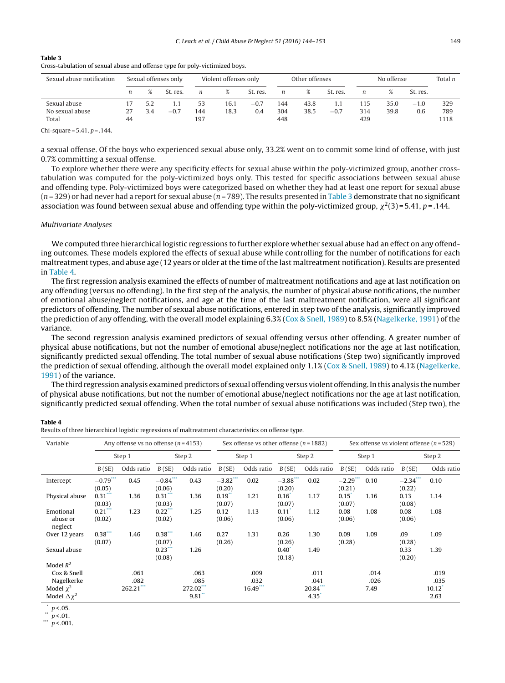<span id="page-5-0"></span>

| Table 3                                                                     |  |
|-----------------------------------------------------------------------------|--|
| Cross-tabulation of sexual abuse and offense type for poly-victimized boys. |  |
|                                                                             |  |

| Sexual abuse notification | Sexual offenses only |     |          | Violent offenses only |      |          | Other offenses |      |          | No offense |      |          | Total n |
|---------------------------|----------------------|-----|----------|-----------------------|------|----------|----------------|------|----------|------------|------|----------|---------|
|                           | n                    |     | St. res. | n                     | %    | St. res. | n              | %    | St. res. | n          |      | St. res. |         |
| Sexual abuse              |                      | 5.2 | 1.1      | 53                    | 16.1 | $-0.7$   | 144            | 43.8 | 1.1      | 115        | 35.0 | $-1.0$   | 329     |
| No sexual abuse           |                      | 3.4 | $-0.7$   | 144                   | 18.3 | 0.4      | 304            | 38.5 | $-0.7$   | 314        | 39.8 | 0.6      | 789     |
| Total                     | 44                   |     |          | 197                   |      |          | 448            |      |          | 429        |      |          | 1118    |

Chi-square =  $5.41, p = .144$ .

a sexual offense. Of the boys who experienced sexual abuse only, 33.2% went on to commit some kind of offense, with just 0.7% committing a sexual offense.

To explore whether there were any specificity effects for sexual abuse within the poly-victimized group, another crosstabulation was computed for the poly-victimized boys only. This tested for specific associations between sexual abuse and offending type. Poly-victimized boys were categorized based on whether they had at least one report for sexual abuse  $(n=329)$  or had never had a report for sexual abuse  $(n=789)$ . The results presented in Table 3 demonstrate that no significant association was found between sexual abuse and offending type within the poly-victimized group,  $\chi^2(3)$ =5.41, p=.144.

#### Multivariate Analyses

We computed three hierarchical logistic regressions to further explore whether sexual abuse had an effect on any offending outcomes. These models explored the effects of sexual abuse while controlling for the number of notifications for each maltreatment types, and abuse age (12 years or older at the time of the last maltreatment notification). Results are presented in Table 4.

The first regression analysis examined the effects of number of maltreatment notifications and age at last notification on any offending (versus no offending). In the first step of the analysis, the number of physical abuse notifications, the number of emotional abuse/neglect notifications, and age at the time of the last maltreatment notification, were all significant predictors of offending. The number of sexual abuse notifications, entered in step two of the analysis, significantly improved the prediction of any offending, with the overall model explaining 6.3% [\(Cox](#page-8-0) [&](#page-8-0) [Snell,](#page-8-0) [1989\)](#page-8-0) to 8.5% ([Nagelkerke,](#page-8-0) [1991\)](#page-8-0) of the variance.

The second regression analysis examined predictors of sexual offending versus other offending. A greater number of physical abuse notifications, but not the number of emotional abuse/neglect notifications nor the age at last notification, significantly predicted sexual offending. The total number of sexual abuse notifications (Step two) significantly improved the prediction of sexual offending, although the overall model explained only 1.1% [\(Cox](#page-8-0) [&](#page-8-0) [Snell,](#page-8-0) [1989\)](#page-8-0) to 4.1% [\(Nagelkerke,](#page-8-0) [1991\)](#page-8-0) of the variance.

The third regression analysis examined predictors of sexual offending versus violent offending. In this analysis the number of physical abuse notifications, but not the number of emotional abuse/neglect notifications nor the age at last notification, significantly predicted sexual offending. When the total number of sexual abuse notifications was included (Step two), the

# **Table 4**

| Results of three hierarchical logistic regressions of maltreatment characteristics on offense type. |  |  |  |
|-----------------------------------------------------------------------------------------------------|--|--|--|
|-----------------------------------------------------------------------------------------------------|--|--|--|

| Variable                         | Any offense vs no offense ( $n = 4153$ ) |             |                               |            | Sex offense vs other offense ( $n = 1882$ ) |            |                            | Sex offense vs violent offense ( $n = 529$ ) |                            |            |                       |            |
|----------------------------------|------------------------------------------|-------------|-------------------------------|------------|---------------------------------------------|------------|----------------------------|----------------------------------------------|----------------------------|------------|-----------------------|------------|
|                                  |                                          | Step 1      |                               | Step 2     |                                             | Step 1     |                            | Step 2                                       |                            | Step 1     |                       | Step 2     |
|                                  | B(SE)                                    | Odds ratio  | B(SE)                         | Odds ratio | B(SE)                                       | Odds ratio | B(SE)                      | Odds ratio                                   | B(SE)                      | Odds ratio | B(SE)                 | Odds ratio |
| Intercept                        | $-0.79***$<br>(0.05)                     | 0.45        | $-0.84***$<br>(0.06)          | 0.43       | $-3.82$ ***<br>(0.20)                       | 0.02       | $-3.88***$<br>(0.20)       | 0.02                                         | $-2.29$ ***<br>(0.21)      | 0.10       | $-2.34$ ***<br>(0.22) | 0.10       |
| Physical abuse                   | $0.31***$<br>(0.03)                      | 1.36        | $0.31$ <sup>*</sup><br>(0.03) | 1.36       | $0.19^{\degree}$<br>(0.07)                  | 1.21       | 0.16<br>(0.07)             | 1.17                                         | $0.15^{\degree}$<br>(0.07) | 1.16       | 0.13<br>(0.08)        | 1.14       |
| Emotional<br>abuse or<br>neglect | $0.21***$<br>(0.02)                      | 1.23        | $0.22***$<br>(0.02)           | 1.25       | 0.12<br>(0.06)                              | 1.13       | $0.11^*$<br>(0.06)         | 1.12                                         | 0.08<br>(0.06)             | 1.08       | 0.08<br>(0.06)        | 1.08       |
| Over 12 years                    | $0.38***$<br>(0.07)                      | 1.46        | $0.38***$<br>(0.07)           | 1.46       | 0.27<br>(0.26)                              | 1.31       | 0.26<br>(0.26)             | 1.30                                         | 0.09<br>(0.28)             | 1.09       | .09<br>(0.28)         | 1.09       |
| Sexual abuse                     |                                          |             | 0.23<br>(0.08)                | 1.26       |                                             |            | $0.40^{\degree}$<br>(0.18) | 1.49                                         |                            |            | 0.33<br>(0.20)        | 1.39       |
| Model $R^2$                      |                                          |             |                               |            |                                             |            |                            |                                              |                            |            |                       |            |
| Cox & Snell                      |                                          | .061        |                               | .063       |                                             | .009       |                            | .011                                         |                            | .014       |                       | .019       |
| Nagelkerke                       |                                          | .082        |                               | .085       |                                             | .032       |                            | .041                                         |                            | .026       |                       | .035       |
| Model $\chi^2$                   |                                          | $262.21***$ |                               | 272.02***  |                                             | $16.49***$ |                            | 20.84***                                     |                            | 7.49       |                       | $10.12^*$  |
| Model $\Delta x^2$               |                                          |             |                               | $9.81$ **  |                                             |            |                            | 4.35                                         |                            |            |                       | 2.63       |

 $p < .05$ .

 $p < .01.$ 

 $p < .001$ .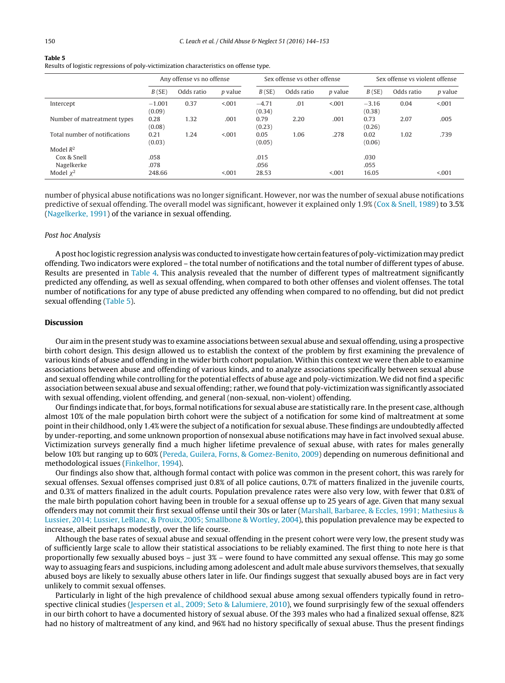## **Table 5**

Results of logistic regressions of poly-victimization characteristics on offense type.

|                               | Any offense vs no offense |            |                |                   | Sex offense vs other offense |                |                   | Sex offense vs violent offense |                |  |  |
|-------------------------------|---------------------------|------------|----------------|-------------------|------------------------------|----------------|-------------------|--------------------------------|----------------|--|--|
|                               | B(SE)                     | Odds ratio | <i>p</i> value | B(SE)             | Odds ratio                   | <i>p</i> value | B(SE)             | Odds ratio                     | <i>p</i> value |  |  |
| Intercept                     | $-1.001$<br>(0.09)        | 0.37       | < 0.01         | $-4.71$<br>(0.34) | .01                          | < 0.001        | $-3.16$<br>(0.38) | 0.04                           | < 0.01         |  |  |
| Number of matreatment types   | 0.28<br>(0.08)            | 1.32       | .001           | 0.79<br>(0.23)    | 2.20                         | .001           | 0.73<br>(0.26)    | 2.07                           | .005           |  |  |
| Total number of notifications | 0.21<br>(0.03)            | 1.24       | < 0.01         | 0.05<br>(0.05)    | 1.06                         | .278           | 0.02<br>(0.06)    | 1.02                           | .739           |  |  |
| Model $R^2$                   |                           |            |                |                   |                              |                |                   |                                |                |  |  |
| Cox & Snell                   | .058                      |            |                | .015              |                              |                | .030              |                                |                |  |  |
| Nagelkerke                    | .078                      |            |                | .056              |                              |                | .055              |                                |                |  |  |
| Model $\chi^2$                | 248.66                    |            | < 001          | 28.53             |                              | < 001          | 16.05             |                                | < 0.001        |  |  |

number of physical abuse notifications was no longer significant. However, nor was the number of sexual abuse notifications predictive of sexual offending. The overall model was significant, however it explained only 1.9% ([Cox](#page-8-0) [&](#page-8-0) [Snell,](#page-8-0) [1989\)](#page-8-0) to 3.5% [\(Nagelkerke,](#page-8-0) [1991\)](#page-8-0) of the variance in sexual offending.

## Post hoc Analysis

Apost hoc logistic regression analysis was conducted to investigate how certain features of poly-victimizationmay predict offending. Two indicators were explored – the total number of notifications and the total number of different types of abuse. Results are presented in [Table](#page-5-0) 4. This analysis revealed that the number of different types of maltreatment significantly predicted any offending, as well as sexual offending, when compared to both other offenses and violent offenses. The total number of notifications for any type of abuse predicted any offending when compared to no offending, but did not predict sexual offending (Table 5).

# **Discussion**

Our aim in the present study was to examine associations between sexual abuse and sexual offending, using a prospective birth cohort design. This design allowed us to establish the context of the problem by first examining the prevalence of various kinds of abuse and offending in the wider birth cohort population. Within this context we were then able to examine associations between abuse and offending of various kinds, and to analyze associations specifically between sexual abuse and sexual offending while controlling for the potential effects of abuse age and poly-victimization. We did not find a specific association between sexual abuse and sexual offending; rather, we found that poly-victimization was significantly associated with sexual offending, violent offending, and general (non-sexual, non-violent) offending.

Our findings indicate that, for boys, formal notifications for sexual abuse are statistically rare. In the present case, although almost 10% of the male population birth cohort were the subject of a notification for some kind of maltreatment at some pointin their childhood, only 1.4% were the subject of a notification for sexual abuse. These findings are undoubtedly affected by under-reporting, and some unknown proportion of nonsexual abuse notifications may have in fact involved sexual abuse. Victimization surveys generally find a much higher lifetime prevalence of sexual abuse, with rates for males generally below 10% but ranging up to 60% ([Pereda,](#page-8-0) [Guilera,](#page-8-0) [Forns,](#page-8-0) [&](#page-8-0) [Gomez-Benito,](#page-8-0) [2009\)](#page-8-0) depending on numerous definitional and methodological issues ([Finkelhor,](#page-8-0) [1994\).](#page-8-0)

Our findings also show that, although formal contact with police was common in the present cohort, this was rarely for sexual offenses. Sexual offenses comprised just 0.8% of all police cautions, 0.7% of matters finalized in the juvenile courts, and 0.3% of matters finalized in the adult courts. Population prevalence rates were also very low, with fewer that 0.8% of the male birth population cohort having been in trouble for a sexual offense up to 25 years of age. Given that many sexual offenders may not commit their first sexual offense until their 30s or later [\(Marshall,](#page-8-0) [Barbaree,](#page-8-0) [&](#page-8-0) [Eccles,](#page-8-0) [1991;](#page-8-0) [Mathesius](#page-8-0) [&](#page-8-0) [Lussier,](#page-8-0) [2014;](#page-8-0) [Lussier,](#page-8-0) [LeBlanc,](#page-8-0) [&](#page-8-0) [Prouix,](#page-8-0) [2005;](#page-8-0) [Smallbone](#page-8-0) [&](#page-8-0) [Wortley,](#page-8-0) [2004\),](#page-8-0) this population prevalence may be expected to increase, albeit perhaps modestly, over the life course.

Although the base rates of sexual abuse and sexual offending in the present cohort were very low, the present study was of sufficiently large scale to allow their statistical associations to be reliably examined. The first thing to note here is that proportionally few sexually abused boys – just 3% – were found to have committed any sexual offense. This may go some way to assuaging fears and suspicions, including among adolescent and adult male abuse survivors themselves, that sexually abused boys are likely to sexually abuse others later in life. Our findings suggest that sexually abused boys are in fact very unlikely to commit sexual offenses.

Particularly in light of the high prevalence of childhood sexual abuse among sexual offenders typically found in retrospective clinical studies ([Jespersen](#page-8-0) et [al.,](#page-8-0) [2009;](#page-8-0) [Seto](#page-8-0) [&](#page-8-0) [Lalumiere,](#page-8-0) [2010\),](#page-8-0) we found surprisingly few of the sexual offenders in our birth cohort to have a documented history of sexual abuse. Of the 393 males who had a finalized sexual offense, 82% had no history of maltreatment of any kind, and 96% had no history specifically of sexual abuse. Thus the present findings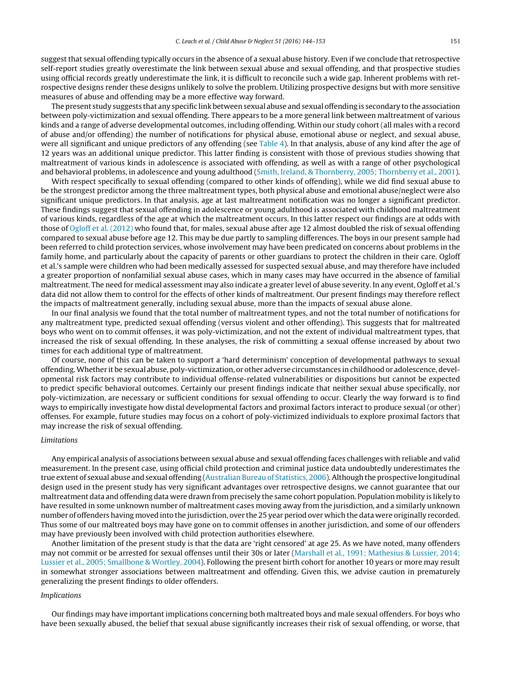suggest that sexual offending typically occurs in the absence of a sexual abuse history. Even if we conclude that retrospective self-report studies greatly overestimate the link between sexual abuse and sexual offending, and that prospective studies using official records greatly underestimate the link, it is difficult to reconcile such a wide gap. Inherent problems with retrospective designs render these designs unlikely to solve the problem. Utilizing prospective designs but with more sensitive measures of abuse and offending may be a more effective way forward.

The present study suggests that any specific link between sexual abuse and sexual offending is secondary to the association between poly-victimization and sexual offending. There appears to be a more general link between maltreatment of various kinds and a range of adverse developmental outcomes, including offending. Within our study cohort (all males with a record of abuse and/or offending) the number of notifications for physical abuse, emotional abuse or neglect, and sexual abuse, were all significant and unique predictors of any offending (see [Table](#page-5-0) 4). In that analysis, abuse of any kind after the age of 12 years was an additional unique predictor. This latter finding is consistent with those of previous studies showing that maltreatment of various kinds in adolescence is associated with offending, as well as with a range of other psychological and behavioral problems, in adolescence and young adulthood [\(Smith,](#page-8-0) [Ireland,](#page-8-0) [&](#page-8-0) [Thornberry,](#page-8-0) [2005;](#page-8-0) [Thornberry](#page-8-0) et [al.,](#page-8-0) [2001\).](#page-8-0)

With respect specifically to sexual offending (compared to other kinds of offending), while we did find sexual abuse to be the strongest predictor among the three maltreatment types, both physical abuse and emotional abuse/neglect were also significant unique predictors. In that analysis, age at last maltreatment notification was no longer a significant predictor. These findings suggest that sexual offending in adolescence or young adulthood is associated with childhood maltreatment of various kinds, regardless of the age at which the maltreatment occurs. In this latter respect our findings are at odds with those of [Ogloff](#page-8-0) et [al.](#page-8-0) [\(2012\)](#page-8-0) who found that, for males, sexual abuse after age 12 almost doubled the risk of sexual offending compared to sexual abuse before age 12. This may be due partly to sampling differences. The boys in our present sample had been referred to child protection services, whose involvement may have been predicated on concerns about problems in the family home, and particularly about the capacity of parents or other guardians to protect the children in their care. Ogloff et al.'s sample were children who had been medically assessed for suspected sexual abuse, and may therefore have included a greater proportion of nonfamilial sexual abuse cases, which in many cases may have occurred in the absence of familial maltreatment. The need for medical assessment may also indicate a greater level of abuse severity. In any event, Ogloff et al.'s data did not allow them to control for the effects of other kinds of maltreatment. Our present findings may therefore reflect the impacts of maltreatment generally, including sexual abuse, more than the impacts of sexual abuse alone.

In our final analysis we found that the total number of maltreatment types, and not the total number of notifications for any maltreatment type, predicted sexual offending (versus violent and other offending). This suggests that for maltreated boys who went on to commit offenses, it was poly-victimization, and not the extent of individual maltreatment types, that increased the risk of sexual offending. In these analyses, the risk of committing a sexual offense increased by about two times for each additional type of maltreatment.

Of course, none of this can be taken to support a 'hard determinism' conception of developmental pathways to sexual offending.Whether it be sexual abuse, poly-victimization, or other adverse circumstances in childhood or adolescence, developmental risk factors may contribute to individual offense-related vulnerabilities or dispositions but cannot be expected to predict specific behavioral outcomes. Certainly our present findings indicate that neither sexual abuse specifically, nor poly-victimization, are necessary or sufficient conditions for sexual offending to occur. Clearly the way forward is to find ways to empirically investigate how distal developmental factors and proximal factors interact to produce sexual (or other) offenses. For example, future studies may focus on a cohort of poly-victimized individuals to explore proximal factors that may increase the risk of sexual offending.

#### Limitations

Any empirical analysis of associations between sexual abuse and sexual offending faces challenges with reliable and valid measurement. In the present case, using official child protection and criminal justice data undoubtedly underestimates the true extent of sexual abuse and sexual offending [\(Australian](#page-8-0) [Bureau](#page-8-0) [of](#page-8-0) [Statistics,](#page-8-0) [2006\).](#page-8-0)Although the prospective longitudinal design used in the present study has very significant advantages over retrospective designs, we cannot guarantee that our maltreatment data and offending data were drawn from precisely the same cohort population. Population mobility is likely to have resulted in some unknown number of maltreatment cases moving away from the jurisdiction, and a similarly unknown number of offenders having moved into the jurisdiction, over the 25 year period over which the data were originally recorded. Thus some of our maltreated boys may have gone on to commit offenses in another jurisdiction, and some of our offenders may have previously been involved with child protection authorities elsewhere.

Another limitation of the present study is that the data are 'right censored' at age 25. As we have noted, many offenders may not commit or be arrested for sexual offenses until their 30s or later [\(Marshall](#page-8-0) et [al.,](#page-8-0) [1991;](#page-8-0) [Mathesius](#page-8-0) [&](#page-8-0) [Lussier,](#page-8-0) [2014;](#page-8-0) [Lussier](#page-8-0) et [al.,](#page-8-0) [2005;](#page-8-0) [Smallbone](#page-8-0) [&](#page-8-0) [Wortley,](#page-8-0) [2004\).](#page-8-0) Following the present birth cohort for another 10 years or more may result in somewhat stronger associations between maltreatment and offending. Given this, we advise caution in prematurely generalizing the present findings to older offenders.

# Implications

Our findings may have important implications concerning both maltreated boys and male sexual offenders. For boys who have been sexually abused, the belief that sexual abuse significantly increases their risk of sexual offending, or worse, that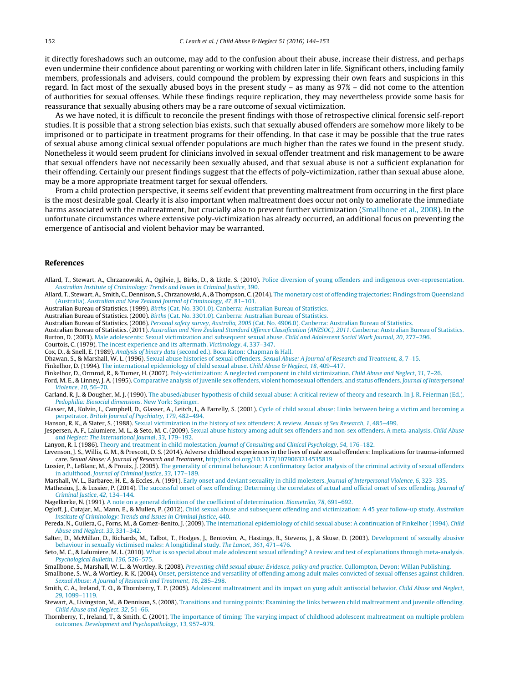<span id="page-8-0"></span>it directly foreshadows such an outcome, may add to the confusion about their abuse, increase their distress, and perhaps even undermine their confidence about parenting or working with children later in life. Significant others, including family members, professionals and advisers, could compound the problem by expressing their own fears and suspicions in this regard. In fact most of the sexually abused boys in the present study – as many as 97% – did not come to the attention of authorities for sexual offenses. While these findings require replication, they may nevertheless provide some basis for reassurance that sexually abusing others may be a rare outcome of sexual victimization.

As we have noted, it is difficult to reconcile the present findings with those of retrospective clinical forensic self-report studies. It is possible that a strong selection bias exists, such that sexually abused offenders are somehow more likely to be imprisoned or to participate in treatment programs for their offending. In that case it may be possible that the true rates of sexual abuse among clinical sexual offender populations are much higher than the rates we found in the present study. Nonetheless it would seem prudent for clinicians involved in sexual offender treatment and risk management to be aware that sexual offenders have not necessarily been sexually abused, and that sexual abuse is not a sufficient explanation for their offending. Certainly our present findings suggest that the effects of poly-victimization, rather than sexual abuse alone, may be a more appropriate treatment target for sexual offenders.

From a child protection perspective, it seems self evident that preventing maltreatment from occurring in the first place is the most desirable goal. Clearly it is also important when maltreatment does occur not only to ameliorate the immediate harms associated with the maltreatment, but crucially also to prevent further victimization (Smallbone et al., 2008). In the unfortunate circumstances where extensive poly-victimization has already occurred, an additional focus on preventing the emergence of antisocial and violent behavior may be warranted.

#### **References**

Allard, T., Stewart, A., Chrzanowski, A., Ogilvie, J., Birks, D., & Little, S. (2010). [Police](http://refhub.elsevier.com/S0145-2134(15)00382-8/sbref0005) [diversion](http://refhub.elsevier.com/S0145-2134(15)00382-8/sbref0005) [of](http://refhub.elsevier.com/S0145-2134(15)00382-8/sbref0005) [young](http://refhub.elsevier.com/S0145-2134(15)00382-8/sbref0005) [offenders](http://refhub.elsevier.com/S0145-2134(15)00382-8/sbref0005) [and](http://refhub.elsevier.com/S0145-2134(15)00382-8/sbref0005) [indigenous](http://refhub.elsevier.com/S0145-2134(15)00382-8/sbref0005) [over-representation.](http://refhub.elsevier.com/S0145-2134(15)00382-8/sbref0005) [Australian](http://refhub.elsevier.com/S0145-2134(15)00382-8/sbref0005) [Institute](http://refhub.elsevier.com/S0145-2134(15)00382-8/sbref0005) [of](http://refhub.elsevier.com/S0145-2134(15)00382-8/sbref0005) [Criminology:](http://refhub.elsevier.com/S0145-2134(15)00382-8/sbref0005) [Trends](http://refhub.elsevier.com/S0145-2134(15)00382-8/sbref0005) [and](http://refhub.elsevier.com/S0145-2134(15)00382-8/sbref0005) [Issues](http://refhub.elsevier.com/S0145-2134(15)00382-8/sbref0005) [in](http://refhub.elsevier.com/S0145-2134(15)00382-8/sbref0005) [Criminal](http://refhub.elsevier.com/S0145-2134(15)00382-8/sbref0005) [Justice](http://refhub.elsevier.com/S0145-2134(15)00382-8/sbref0005)[,](http://refhub.elsevier.com/S0145-2134(15)00382-8/sbref0005) [390.](http://refhub.elsevier.com/S0145-2134(15)00382-8/sbref0005)

Allard, T., Stewart, A., Smith, C., Dennison, S., Chrzanowski, A., & Thompson, C.(2014). [The](http://refhub.elsevier.com/S0145-2134(15)00382-8/sbref0010) [monetary](http://refhub.elsevier.com/S0145-2134(15)00382-8/sbref0010) [cost](http://refhub.elsevier.com/S0145-2134(15)00382-8/sbref0010) [of](http://refhub.elsevier.com/S0145-2134(15)00382-8/sbref0010) [offending](http://refhub.elsevier.com/S0145-2134(15)00382-8/sbref0010) [trajectories:](http://refhub.elsevier.com/S0145-2134(15)00382-8/sbref0010) [Findings](http://refhub.elsevier.com/S0145-2134(15)00382-8/sbref0010) [from](http://refhub.elsevier.com/S0145-2134(15)00382-8/sbref0010) [Queensland](http://refhub.elsevier.com/S0145-2134(15)00382-8/sbref0010) [\(Australia\).](http://refhub.elsevier.com/S0145-2134(15)00382-8/sbref0010) [Australian](http://refhub.elsevier.com/S0145-2134(15)00382-8/sbref0010) [and](http://refhub.elsevier.com/S0145-2134(15)00382-8/sbref0010) [New](http://refhub.elsevier.com/S0145-2134(15)00382-8/sbref0010) [Zealand](http://refhub.elsevier.com/S0145-2134(15)00382-8/sbref0010) [Journal](http://refhub.elsevier.com/S0145-2134(15)00382-8/sbref0010) [of](http://refhub.elsevier.com/S0145-2134(15)00382-8/sbref0010) [Criminology](http://refhub.elsevier.com/S0145-2134(15)00382-8/sbref0010)[,](http://refhub.elsevier.com/S0145-2134(15)00382-8/sbref0010) [47](http://refhub.elsevier.com/S0145-2134(15)00382-8/sbref0010)[,](http://refhub.elsevier.com/S0145-2134(15)00382-8/sbref0010) [81](http://refhub.elsevier.com/S0145-2134(15)00382-8/sbref0010)–[101.](http://refhub.elsevier.com/S0145-2134(15)00382-8/sbref0010)

- Australian Bureau of Statistics. (1999). [Births](http://refhub.elsevier.com/S0145-2134(15)00382-8/sbref0015) [\(Cat.](http://refhub.elsevier.com/S0145-2134(15)00382-8/sbref0015) [No.](http://refhub.elsevier.com/S0145-2134(15)00382-8/sbref0015) [3301.0\).](http://refhub.elsevier.com/S0145-2134(15)00382-8/sbref0015) [Canberra:](http://refhub.elsevier.com/S0145-2134(15)00382-8/sbref0015) [Australian](http://refhub.elsevier.com/S0145-2134(15)00382-8/sbref0015) [Bureau](http://refhub.elsevier.com/S0145-2134(15)00382-8/sbref0015) [of](http://refhub.elsevier.com/S0145-2134(15)00382-8/sbref0015) [Statistics.](http://refhub.elsevier.com/S0145-2134(15)00382-8/sbref0015)
- Australian Bureau of Statistics. (2000). [Births](http://refhub.elsevier.com/S0145-2134(15)00382-8/sbref0020) [\(Cat.](http://refhub.elsevier.com/S0145-2134(15)00382-8/sbref0020) [No.](http://refhub.elsevier.com/S0145-2134(15)00382-8/sbref0020) [3301.0\).](http://refhub.elsevier.com/S0145-2134(15)00382-8/sbref0020) [Canberra:](http://refhub.elsevier.com/S0145-2134(15)00382-8/sbref0020) [Australian](http://refhub.elsevier.com/S0145-2134(15)00382-8/sbref0020) [Bureau](http://refhub.elsevier.com/S0145-2134(15)00382-8/sbref0020) [of](http://refhub.elsevier.com/S0145-2134(15)00382-8/sbref0020) [Statistics.](http://refhub.elsevier.com/S0145-2134(15)00382-8/sbref0020)

Australian Bureau of Statistics. (2006). [Personal](http://refhub.elsevier.com/S0145-2134(15)00382-8/sbref0025) [safety](http://refhub.elsevier.com/S0145-2134(15)00382-8/sbref0025) [survey,](http://refhub.elsevier.com/S0145-2134(15)00382-8/sbref0025) [Australia,](http://refhub.elsevier.com/S0145-2134(15)00382-8/sbref0025) [2005](http://refhub.elsevier.com/S0145-2134(15)00382-8/sbref0025) [\(Cat.](http://refhub.elsevier.com/S0145-2134(15)00382-8/sbref0025) [No.](http://refhub.elsevier.com/S0145-2134(15)00382-8/sbref0025) [4906.0\).](http://refhub.elsevier.com/S0145-2134(15)00382-8/sbref0025) [Canberra:](http://refhub.elsevier.com/S0145-2134(15)00382-8/sbref0025) [Australian](http://refhub.elsevier.com/S0145-2134(15)00382-8/sbref0025) [Bureau](http://refhub.elsevier.com/S0145-2134(15)00382-8/sbref0025) [of](http://refhub.elsevier.com/S0145-2134(15)00382-8/sbref0025) [Statistics.](http://refhub.elsevier.com/S0145-2134(15)00382-8/sbref0025)

Australian Bureau of Statistics. (2011). [Australian](http://refhub.elsevier.com/S0145-2134(15)00382-8/sbref0035) [and](http://refhub.elsevier.com/S0145-2134(15)00382-8/sbref0035) [New](http://refhub.elsevier.com/S0145-2134(15)00382-8/sbref0035) [Zealand](http://refhub.elsevier.com/S0145-2134(15)00382-8/sbref0035) [Standard](http://refhub.elsevier.com/S0145-2134(15)00382-8/sbref0035) [Offence](http://refhub.elsevier.com/S0145-2134(15)00382-8/sbref0035) [Classification](http://refhub.elsevier.com/S0145-2134(15)00382-8/sbref0035) [\(ANZSOC\),](http://refhub.elsevier.com/S0145-2134(15)00382-8/sbref0035) [2011](http://refhub.elsevier.com/S0145-2134(15)00382-8/sbref0035). [Canberra:](http://refhub.elsevier.com/S0145-2134(15)00382-8/sbref0035) [Australian](http://refhub.elsevier.com/S0145-2134(15)00382-8/sbref0035) [Bureau](http://refhub.elsevier.com/S0145-2134(15)00382-8/sbref0035) [of](http://refhub.elsevier.com/S0145-2134(15)00382-8/sbref0035) [Statistics.](http://refhub.elsevier.com/S0145-2134(15)00382-8/sbref0035) Burton, D. (2003). [Male](http://refhub.elsevier.com/S0145-2134(15)00382-8/sbref0040) [adolescents:](http://refhub.elsevier.com/S0145-2134(15)00382-8/sbref0040) [Sexual](http://refhub.elsevier.com/S0145-2134(15)00382-8/sbref0040) [victimization](http://refhub.elsevier.com/S0145-2134(15)00382-8/sbref0040) [and](http://refhub.elsevier.com/S0145-2134(15)00382-8/sbref0040) [subsequent](http://refhub.elsevier.com/S0145-2134(15)00382-8/sbref0040) [sexual](http://refhub.elsevier.com/S0145-2134(15)00382-8/sbref0040) [abuse.](http://refhub.elsevier.com/S0145-2134(15)00382-8/sbref0040) [Child](http://refhub.elsevier.com/S0145-2134(15)00382-8/sbref0040) [and](http://refhub.elsevier.com/S0145-2134(15)00382-8/sbref0040) [Adolescent](http://refhub.elsevier.com/S0145-2134(15)00382-8/sbref0040) [Social](http://refhub.elsevier.com/S0145-2134(15)00382-8/sbref0040) [Work](http://refhub.elsevier.com/S0145-2134(15)00382-8/sbref0040) [Journal](http://refhub.elsevier.com/S0145-2134(15)00382-8/sbref0040)[,](http://refhub.elsevier.com/S0145-2134(15)00382-8/sbref0040) [20](http://refhub.elsevier.com/S0145-2134(15)00382-8/sbref0040)[,](http://refhub.elsevier.com/S0145-2134(15)00382-8/sbref0040) [277–296.](http://refhub.elsevier.com/S0145-2134(15)00382-8/sbref0040)

Courtois, C. (1979). [The](http://refhub.elsevier.com/S0145-2134(15)00382-8/sbref0045) [incest](http://refhub.elsevier.com/S0145-2134(15)00382-8/sbref0045) [experience](http://refhub.elsevier.com/S0145-2134(15)00382-8/sbref0045) [and](http://refhub.elsevier.com/S0145-2134(15)00382-8/sbref0045) [its](http://refhub.elsevier.com/S0145-2134(15)00382-8/sbref0045) [aftermath.](http://refhub.elsevier.com/S0145-2134(15)00382-8/sbref0045) [Victimology](http://refhub.elsevier.com/S0145-2134(15)00382-8/sbref0045)[,](http://refhub.elsevier.com/S0145-2134(15)00382-8/sbref0045) [4](http://refhub.elsevier.com/S0145-2134(15)00382-8/sbref0045)[,](http://refhub.elsevier.com/S0145-2134(15)00382-8/sbref0045) [337–347.](http://refhub.elsevier.com/S0145-2134(15)00382-8/sbref0045)

Cox, D., & Snell, E. (1989). [Analysis](http://refhub.elsevier.com/S0145-2134(15)00382-8/sbref0050) [of](http://refhub.elsevier.com/S0145-2134(15)00382-8/sbref0050) [binary](http://refhub.elsevier.com/S0145-2134(15)00382-8/sbref0050) [data](http://refhub.elsevier.com/S0145-2134(15)00382-8/sbref0050) [\(second](http://refhub.elsevier.com/S0145-2134(15)00382-8/sbref0050) [ed.\).](http://refhub.elsevier.com/S0145-2134(15)00382-8/sbref0050) [Boca](http://refhub.elsevier.com/S0145-2134(15)00382-8/sbref0050) [Raton:](http://refhub.elsevier.com/S0145-2134(15)00382-8/sbref0050) [Chapman](http://refhub.elsevier.com/S0145-2134(15)00382-8/sbref0050) [&](http://refhub.elsevier.com/S0145-2134(15)00382-8/sbref0050) [Hall.](http://refhub.elsevier.com/S0145-2134(15)00382-8/sbref0050)

Dhawan, S., & Marshall, W. L. (1996). [Sexual](http://refhub.elsevier.com/S0145-2134(15)00382-8/sbref0055) [abuse](http://refhub.elsevier.com/S0145-2134(15)00382-8/sbref0055) [histories](http://refhub.elsevier.com/S0145-2134(15)00382-8/sbref0055) [of](http://refhub.elsevier.com/S0145-2134(15)00382-8/sbref0055) [sexual](http://refhub.elsevier.com/S0145-2134(15)00382-8/sbref0055) [offenders.](http://refhub.elsevier.com/S0145-2134(15)00382-8/sbref0055) [Sexual](http://refhub.elsevier.com/S0145-2134(15)00382-8/sbref0055) [Abuse:](http://refhub.elsevier.com/S0145-2134(15)00382-8/sbref0055) [A](http://refhub.elsevier.com/S0145-2134(15)00382-8/sbref0055) [Journal](http://refhub.elsevier.com/S0145-2134(15)00382-8/sbref0055) [of](http://refhub.elsevier.com/S0145-2134(15)00382-8/sbref0055) [Research](http://refhub.elsevier.com/S0145-2134(15)00382-8/sbref0055) [and](http://refhub.elsevier.com/S0145-2134(15)00382-8/sbref0055) [Treatment](http://refhub.elsevier.com/S0145-2134(15)00382-8/sbref0055)[,](http://refhub.elsevier.com/S0145-2134(15)00382-8/sbref0055) [8](http://refhub.elsevier.com/S0145-2134(15)00382-8/sbref0055)[,](http://refhub.elsevier.com/S0145-2134(15)00382-8/sbref0055) [7–15.](http://refhub.elsevier.com/S0145-2134(15)00382-8/sbref0055)

Finkelhor, D. (1994). [The](http://refhub.elsevier.com/S0145-2134(15)00382-8/sbref0070) [international](http://refhub.elsevier.com/S0145-2134(15)00382-8/sbref0070) [epidemiology](http://refhub.elsevier.com/S0145-2134(15)00382-8/sbref0070) [of](http://refhub.elsevier.com/S0145-2134(15)00382-8/sbref0070) [child](http://refhub.elsevier.com/S0145-2134(15)00382-8/sbref0070) [sexual](http://refhub.elsevier.com/S0145-2134(15)00382-8/sbref0070) [abuse.](http://refhub.elsevier.com/S0145-2134(15)00382-8/sbref0070) [Child](http://refhub.elsevier.com/S0145-2134(15)00382-8/sbref0070) [Abuse](http://refhub.elsevier.com/S0145-2134(15)00382-8/sbref0070) [&](http://refhub.elsevier.com/S0145-2134(15)00382-8/sbref0070) [Neglect](http://refhub.elsevier.com/S0145-2134(15)00382-8/sbref0070)[,](http://refhub.elsevier.com/S0145-2134(15)00382-8/sbref0070) [18](http://refhub.elsevier.com/S0145-2134(15)00382-8/sbref0070), 409-417.

- Finkelhor, D., Ormrod, R., & Turner, H. (2007). [Poly-victimization:](http://refhub.elsevier.com/S0145-2134(15)00382-8/sbref0075) [A](http://refhub.elsevier.com/S0145-2134(15)00382-8/sbref0075) [neglected](http://refhub.elsevier.com/S0145-2134(15)00382-8/sbref0075) [component](http://refhub.elsevier.com/S0145-2134(15)00382-8/sbref0075) [in](http://refhub.elsevier.com/S0145-2134(15)00382-8/sbref0075) [child](http://refhub.elsevier.com/S0145-2134(15)00382-8/sbref0075) [victimization.](http://refhub.elsevier.com/S0145-2134(15)00382-8/sbref0075) [Child](http://refhub.elsevier.com/S0145-2134(15)00382-8/sbref0075) [Abuse](http://refhub.elsevier.com/S0145-2134(15)00382-8/sbref0075) [and](http://refhub.elsevier.com/S0145-2134(15)00382-8/sbref0075) [Neglect](http://refhub.elsevier.com/S0145-2134(15)00382-8/sbref0075)[,](http://refhub.elsevier.com/S0145-2134(15)00382-8/sbref0075) [31](http://refhub.elsevier.com/S0145-2134(15)00382-8/sbref0075), 7-26.
- Ford, M. E., & Linney, J. A. (1995). [Comparative](http://refhub.elsevier.com/S0145-2134(15)00382-8/sbref0080) [analysis](http://refhub.elsevier.com/S0145-2134(15)00382-8/sbref0080) [of](http://refhub.elsevier.com/S0145-2134(15)00382-8/sbref0080) [juvenile](http://refhub.elsevier.com/S0145-2134(15)00382-8/sbref0080) [sex](http://refhub.elsevier.com/S0145-2134(15)00382-8/sbref0080) [offenders,](http://refhub.elsevier.com/S0145-2134(15)00382-8/sbref0080) [violent](http://refhub.elsevier.com/S0145-2134(15)00382-8/sbref0080) [homosexual](http://refhub.elsevier.com/S0145-2134(15)00382-8/sbref0080) offenders, [and](http://refhub.elsevier.com/S0145-2134(15)00382-8/sbref0080) [status](http://refhub.elsevier.com/S0145-2134(15)00382-8/sbref0080) [offenders.](http://refhub.elsevier.com/S0145-2134(15)00382-8/sbref0080) [Journal](http://refhub.elsevier.com/S0145-2134(15)00382-8/sbref0080) of [Interpersonal](http://refhub.elsevier.com/S0145-2134(15)00382-8/sbref0080) [Violence](http://refhub.elsevier.com/S0145-2134(15)00382-8/sbref0080)[,](http://refhub.elsevier.com/S0145-2134(15)00382-8/sbref0080) [10](http://refhub.elsevier.com/S0145-2134(15)00382-8/sbref0080), [56–70.](http://refhub.elsevier.com/S0145-2134(15)00382-8/sbref0080)
- Garland, R. J., & Dougher, M. J. (1990). [The](http://refhub.elsevier.com/S0145-2134(15)00382-8/sbref0085) [abused/abuser](http://refhub.elsevier.com/S0145-2134(15)00382-8/sbref0085) [hypothesis](http://refhub.elsevier.com/S0145-2134(15)00382-8/sbref0085) [of](http://refhub.elsevier.com/S0145-2134(15)00382-8/sbref0085) [child](http://refhub.elsevier.com/S0145-2134(15)00382-8/sbref0085) [sexual](http://refhub.elsevier.com/S0145-2134(15)00382-8/sbref0085) [abuse:](http://refhub.elsevier.com/S0145-2134(15)00382-8/sbref0085) [A](http://refhub.elsevier.com/S0145-2134(15)00382-8/sbref0085) [critical](http://refhub.elsevier.com/S0145-2134(15)00382-8/sbref0085) [review](http://refhub.elsevier.com/S0145-2134(15)00382-8/sbref0085) of [theory](http://refhub.elsevier.com/S0145-2134(15)00382-8/sbref0085) [and](http://refhub.elsevier.com/S0145-2134(15)00382-8/sbref0085) [research.](http://refhub.elsevier.com/S0145-2134(15)00382-8/sbref0085) [In](http://refhub.elsevier.com/S0145-2134(15)00382-8/sbref0085) [J.](http://refhub.elsevier.com/S0145-2134(15)00382-8/sbref0085) [R.](http://refhub.elsevier.com/S0145-2134(15)00382-8/sbref0085) [Feierman](http://refhub.elsevier.com/S0145-2134(15)00382-8/sbref0085) [\(Ed.\),](http://refhub.elsevier.com/S0145-2134(15)00382-8/sbref0085) [Pedophilia:](http://refhub.elsevier.com/S0145-2134(15)00382-8/sbref0085) [Biosocial](http://refhub.elsevier.com/S0145-2134(15)00382-8/sbref0085) [dimensions](http://refhub.elsevier.com/S0145-2134(15)00382-8/sbref0085)[.](http://refhub.elsevier.com/S0145-2134(15)00382-8/sbref0085) [New](http://refhub.elsevier.com/S0145-2134(15)00382-8/sbref0085) [York:](http://refhub.elsevier.com/S0145-2134(15)00382-8/sbref0085) [Springer.](http://refhub.elsevier.com/S0145-2134(15)00382-8/sbref0085)
- Glasser, M., Kolvin, I., Campbell, D., Glasser, A., Leitch, I., & Farrelly, S. (2001). [Cycle](http://refhub.elsevier.com/S0145-2134(15)00382-8/sbref0090) [of](http://refhub.elsevier.com/S0145-2134(15)00382-8/sbref0090) [child](http://refhub.elsevier.com/S0145-2134(15)00382-8/sbref0090) [sexual](http://refhub.elsevier.com/S0145-2134(15)00382-8/sbref0090) [abuse:](http://refhub.elsevier.com/S0145-2134(15)00382-8/sbref0090) [Links](http://refhub.elsevier.com/S0145-2134(15)00382-8/sbref0090) [between](http://refhub.elsevier.com/S0145-2134(15)00382-8/sbref0090) [being](http://refhub.elsevier.com/S0145-2134(15)00382-8/sbref0090) [a](http://refhub.elsevier.com/S0145-2134(15)00382-8/sbref0090) [victim](http://refhub.elsevier.com/S0145-2134(15)00382-8/sbref0090) [and](http://refhub.elsevier.com/S0145-2134(15)00382-8/sbref0090) [becoming](http://refhub.elsevier.com/S0145-2134(15)00382-8/sbref0090) [a](http://refhub.elsevier.com/S0145-2134(15)00382-8/sbref0090) [perpetrator.](http://refhub.elsevier.com/S0145-2134(15)00382-8/sbref0090) [British](http://refhub.elsevier.com/S0145-2134(15)00382-8/sbref0090) [Journal](http://refhub.elsevier.com/S0145-2134(15)00382-8/sbref0090) [of](http://refhub.elsevier.com/S0145-2134(15)00382-8/sbref0090) [Psychiatry](http://refhub.elsevier.com/S0145-2134(15)00382-8/sbref0090)[,](http://refhub.elsevier.com/S0145-2134(15)00382-8/sbref0090) [179](http://refhub.elsevier.com/S0145-2134(15)00382-8/sbref0090)[,](http://refhub.elsevier.com/S0145-2134(15)00382-8/sbref0090) [482–494.](http://refhub.elsevier.com/S0145-2134(15)00382-8/sbref0090)

Hanson, R. K., & Slater, S. (1988). [Sexual](http://refhub.elsevier.com/S0145-2134(15)00382-8/sbref0095) [victimization](http://refhub.elsevier.com/S0145-2134(15)00382-8/sbref0095) [in](http://refhub.elsevier.com/S0145-2134(15)00382-8/sbref0095) [the](http://refhub.elsevier.com/S0145-2134(15)00382-8/sbref0095) [history](http://refhub.elsevier.com/S0145-2134(15)00382-8/sbref0095) [of](http://refhub.elsevier.com/S0145-2134(15)00382-8/sbref0095) [sex](http://refhub.elsevier.com/S0145-2134(15)00382-8/sbref0095) [offenders:](http://refhub.elsevier.com/S0145-2134(15)00382-8/sbref0095) [A](http://refhub.elsevier.com/S0145-2134(15)00382-8/sbref0095) [review.](http://refhub.elsevier.com/S0145-2134(15)00382-8/sbref0095) [Annals](http://refhub.elsevier.com/S0145-2134(15)00382-8/sbref0095) of [Sex](http://refhub.elsevier.com/S0145-2134(15)00382-8/sbref0095) [Research](http://refhub.elsevier.com/S0145-2134(15)00382-8/sbref0095)[,](http://refhub.elsevier.com/S0145-2134(15)00382-8/sbref0095) [1](http://refhub.elsevier.com/S0145-2134(15)00382-8/sbref0095), 485-499. Jespersen, A. F., Lalumiere, M. L., & Seto, M. C. (2009). [Sexual](http://refhub.elsevier.com/S0145-2134(15)00382-8/sbref0100) [abuse](http://refhub.elsevier.com/S0145-2134(15)00382-8/sbref0100) [history](http://refhub.elsevier.com/S0145-2134(15)00382-8/sbref0100) [among](http://refhub.elsevier.com/S0145-2134(15)00382-8/sbref0100) [adult](http://refhub.elsevier.com/S0145-2134(15)00382-8/sbref0100) [sex](http://refhub.elsevier.com/S0145-2134(15)00382-8/sbref0100) [offenders](http://refhub.elsevier.com/S0145-2134(15)00382-8/sbref0100) [and](http://refhub.elsevier.com/S0145-2134(15)00382-8/sbref0100) [non-sex](http://refhub.elsevier.com/S0145-2134(15)00382-8/sbref0100) [offenders.](http://refhub.elsevier.com/S0145-2134(15)00382-8/sbref0100) [A](http://refhub.elsevier.com/S0145-2134(15)00382-8/sbref0100) [meta-analysis.](http://refhub.elsevier.com/S0145-2134(15)00382-8/sbref0100) [Child](http://refhub.elsevier.com/S0145-2134(15)00382-8/sbref0100) [Abuse](http://refhub.elsevier.com/S0145-2134(15)00382-8/sbref0100)

[and](http://refhub.elsevier.com/S0145-2134(15)00382-8/sbref0100) [Neglect:](http://refhub.elsevier.com/S0145-2134(15)00382-8/sbref0100) [The](http://refhub.elsevier.com/S0145-2134(15)00382-8/sbref0100) [International](http://refhub.elsevier.com/S0145-2134(15)00382-8/sbref0100) [Journal](http://refhub.elsevier.com/S0145-2134(15)00382-8/sbref0100)[,](http://refhub.elsevier.com/S0145-2134(15)00382-8/sbref0100) [33](http://refhub.elsevier.com/S0145-2134(15)00382-8/sbref0100)[,](http://refhub.elsevier.com/S0145-2134(15)00382-8/sbref0100) [179–192.](http://refhub.elsevier.com/S0145-2134(15)00382-8/sbref0100)

Lanyon, R. I. (1986). [Theory](http://refhub.elsevier.com/S0145-2134(15)00382-8/sbref0105) [and](http://refhub.elsevier.com/S0145-2134(15)00382-8/sbref0105) [treatment](http://refhub.elsevier.com/S0145-2134(15)00382-8/sbref0105) [in](http://refhub.elsevier.com/S0145-2134(15)00382-8/sbref0105) [child](http://refhub.elsevier.com/S0145-2134(15)00382-8/sbref0105) [molestation.](http://refhub.elsevier.com/S0145-2134(15)00382-8/sbref0105) [Journal](http://refhub.elsevier.com/S0145-2134(15)00382-8/sbref0105) [of](http://refhub.elsevier.com/S0145-2134(15)00382-8/sbref0105) [Consulting](http://refhub.elsevier.com/S0145-2134(15)00382-8/sbref0105) [and](http://refhub.elsevier.com/S0145-2134(15)00382-8/sbref0105) [Clinical](http://refhub.elsevier.com/S0145-2134(15)00382-8/sbref0105) [Psychology](http://refhub.elsevier.com/S0145-2134(15)00382-8/sbref0105)[,](http://refhub.elsevier.com/S0145-2134(15)00382-8/sbref0105) [54](http://refhub.elsevier.com/S0145-2134(15)00382-8/sbref0105)[,](http://refhub.elsevier.com/S0145-2134(15)00382-8/sbref0105) [176–182.](http://refhub.elsevier.com/S0145-2134(15)00382-8/sbref0105)

Levenson, J. S., Willis, G. M., & Prescott, D. S. (2014). Adverse childhood experiences in the lives of male sexual offenders: Implications for trauma-informed care. Sexual Abuse: A Journal of Research and Treatment, [http://dx.doi.org/10.1177/1079063214535819](dx.doi.org/10.1177/1079063214535819)

Lussier, P., LeBlanc, M., & Prouix, J. (2005). [The](http://refhub.elsevier.com/S0145-2134(15)00382-8/sbref0115) [generality](http://refhub.elsevier.com/S0145-2134(15)00382-8/sbref0115) [of](http://refhub.elsevier.com/S0145-2134(15)00382-8/sbref0115) [criminal](http://refhub.elsevier.com/S0145-2134(15)00382-8/sbref0115) [behaviour:](http://refhub.elsevier.com/S0145-2134(15)00382-8/sbref0115) [A](http://refhub.elsevier.com/S0145-2134(15)00382-8/sbref0115) [confirmatory](http://refhub.elsevier.com/S0145-2134(15)00382-8/sbref0115) [factor](http://refhub.elsevier.com/S0145-2134(15)00382-8/sbref0115) [analysis](http://refhub.elsevier.com/S0145-2134(15)00382-8/sbref0115) [of](http://refhub.elsevier.com/S0145-2134(15)00382-8/sbref0115) [the](http://refhub.elsevier.com/S0145-2134(15)00382-8/sbref0115) [criminal](http://refhub.elsevier.com/S0145-2134(15)00382-8/sbref0115) [activity](http://refhub.elsevier.com/S0145-2134(15)00382-8/sbref0115) [of](http://refhub.elsevier.com/S0145-2134(15)00382-8/sbref0115) [sexual](http://refhub.elsevier.com/S0145-2134(15)00382-8/sbref0115) [offenders](http://refhub.elsevier.com/S0145-2134(15)00382-8/sbref0115) [in](http://refhub.elsevier.com/S0145-2134(15)00382-8/sbref0115) [adulthood.](http://refhub.elsevier.com/S0145-2134(15)00382-8/sbref0115) [Journal](http://refhub.elsevier.com/S0145-2134(15)00382-8/sbref0115) [of](http://refhub.elsevier.com/S0145-2134(15)00382-8/sbref0115) [Criminal](http://refhub.elsevier.com/S0145-2134(15)00382-8/sbref0115) [Justice](http://refhub.elsevier.com/S0145-2134(15)00382-8/sbref0115)[,](http://refhub.elsevier.com/S0145-2134(15)00382-8/sbref0115) [33](http://refhub.elsevier.com/S0145-2134(15)00382-8/sbref0115)[,](http://refhub.elsevier.com/S0145-2134(15)00382-8/sbref0115) [177](http://refhub.elsevier.com/S0145-2134(15)00382-8/sbref0115)–[189.](http://refhub.elsevier.com/S0145-2134(15)00382-8/sbref0115)

Marshall, W. L., Barbaree, H. E., & Eccles, A. (1991). [Early](http://refhub.elsevier.com/S0145-2134(15)00382-8/sbref0125) [onset](http://refhub.elsevier.com/S0145-2134(15)00382-8/sbref0125) [and](http://refhub.elsevier.com/S0145-2134(15)00382-8/sbref0125) [deviant](http://refhub.elsevier.com/S0145-2134(15)00382-8/sbref0125) [sexuality](http://refhub.elsevier.com/S0145-2134(15)00382-8/sbref0125) [in](http://refhub.elsevier.com/S0145-2134(15)00382-8/sbref0125) [child](http://refhub.elsevier.com/S0145-2134(15)00382-8/sbref0125) [molesters.](http://refhub.elsevier.com/S0145-2134(15)00382-8/sbref0125) [Journal](http://refhub.elsevier.com/S0145-2134(15)00382-8/sbref0125) [of](http://refhub.elsevier.com/S0145-2134(15)00382-8/sbref0125) [Interpersonal](http://refhub.elsevier.com/S0145-2134(15)00382-8/sbref0125) [Violence](http://refhub.elsevier.com/S0145-2134(15)00382-8/sbref0125)[,](http://refhub.elsevier.com/S0145-2134(15)00382-8/sbref0125) [6](http://refhub.elsevier.com/S0145-2134(15)00382-8/sbref0125)[,](http://refhub.elsevier.com/S0145-2134(15)00382-8/sbref0125) [323](http://refhub.elsevier.com/S0145-2134(15)00382-8/sbref0125)–[335.](http://refhub.elsevier.com/S0145-2134(15)00382-8/sbref0125)

Mathesius, J., & Lussier, P. (2014). [The](http://refhub.elsevier.com/S0145-2134(15)00382-8/sbref0130) [successful](http://refhub.elsevier.com/S0145-2134(15)00382-8/sbref0130) [onset](http://refhub.elsevier.com/S0145-2134(15)00382-8/sbref0130) [of](http://refhub.elsevier.com/S0145-2134(15)00382-8/sbref0130) [sex](http://refhub.elsevier.com/S0145-2134(15)00382-8/sbref0130) [offending:](http://refhub.elsevier.com/S0145-2134(15)00382-8/sbref0130) [Determinig](http://refhub.elsevier.com/S0145-2134(15)00382-8/sbref0130) [the](http://refhub.elsevier.com/S0145-2134(15)00382-8/sbref0130) [correlates](http://refhub.elsevier.com/S0145-2134(15)00382-8/sbref0130) of [actual](http://refhub.elsevier.com/S0145-2134(15)00382-8/sbref0130) [and](http://refhub.elsevier.com/S0145-2134(15)00382-8/sbref0130) [official](http://refhub.elsevier.com/S0145-2134(15)00382-8/sbref0130) onset of sex [offending.](http://refhub.elsevier.com/S0145-2134(15)00382-8/sbref0130) [Journal](http://refhub.elsevier.com/S0145-2134(15)00382-8/sbref0130) of [Criminal](http://refhub.elsevier.com/S0145-2134(15)00382-8/sbref0130) [Justice](http://refhub.elsevier.com/S0145-2134(15)00382-8/sbref0130)[,](http://refhub.elsevier.com/S0145-2134(15)00382-8/sbref0130) [42](http://refhub.elsevier.com/S0145-2134(15)00382-8/sbref0130)[,](http://refhub.elsevier.com/S0145-2134(15)00382-8/sbref0130) [134](http://refhub.elsevier.com/S0145-2134(15)00382-8/sbref0130)–[144.](http://refhub.elsevier.com/S0145-2134(15)00382-8/sbref0130)

Nagelkerke, N. (1991). [A](http://refhub.elsevier.com/S0145-2134(15)00382-8/sbref0135) [note](http://refhub.elsevier.com/S0145-2134(15)00382-8/sbref0135) [on](http://refhub.elsevier.com/S0145-2134(15)00382-8/sbref0135) [a](http://refhub.elsevier.com/S0145-2134(15)00382-8/sbref0135) [general](http://refhub.elsevier.com/S0145-2134(15)00382-8/sbref0135) [definition](http://refhub.elsevier.com/S0145-2134(15)00382-8/sbref0135) [of](http://refhub.elsevier.com/S0145-2134(15)00382-8/sbref0135) [the](http://refhub.elsevier.com/S0145-2134(15)00382-8/sbref0135) [coefficient](http://refhub.elsevier.com/S0145-2134(15)00382-8/sbref0135) [of](http://refhub.elsevier.com/S0145-2134(15)00382-8/sbref0135) [determination.](http://refhub.elsevier.com/S0145-2134(15)00382-8/sbref0135) [Biometrika](http://refhub.elsevier.com/S0145-2134(15)00382-8/sbref0135)[,](http://refhub.elsevier.com/S0145-2134(15)00382-8/sbref0135) [78](http://refhub.elsevier.com/S0145-2134(15)00382-8/sbref0135)[,](http://refhub.elsevier.com/S0145-2134(15)00382-8/sbref0135) [691–692.](http://refhub.elsevier.com/S0145-2134(15)00382-8/sbref0135)

Ogloff, J., Cutajar, M., Mann, E., & Mullen, P. (2012). [Child](http://refhub.elsevier.com/S0145-2134(15)00382-8/sbref0140) [sexual](http://refhub.elsevier.com/S0145-2134(15)00382-8/sbref0140) [abuse](http://refhub.elsevier.com/S0145-2134(15)00382-8/sbref0140) [and](http://refhub.elsevier.com/S0145-2134(15)00382-8/sbref0140) [subsequent](http://refhub.elsevier.com/S0145-2134(15)00382-8/sbref0140) [offending](http://refhub.elsevier.com/S0145-2134(15)00382-8/sbref0140) [and](http://refhub.elsevier.com/S0145-2134(15)00382-8/sbref0140) [victimization:](http://refhub.elsevier.com/S0145-2134(15)00382-8/sbref0140) [A](http://refhub.elsevier.com/S0145-2134(15)00382-8/sbref0140) [45](http://refhub.elsevier.com/S0145-2134(15)00382-8/sbref0140) [year](http://refhub.elsevier.com/S0145-2134(15)00382-8/sbref0140) [follow-up](http://refhub.elsevier.com/S0145-2134(15)00382-8/sbref0140) [study.](http://refhub.elsevier.com/S0145-2134(15)00382-8/sbref0140) [Australian](http://refhub.elsevier.com/S0145-2134(15)00382-8/sbref0140) [Institute](http://refhub.elsevier.com/S0145-2134(15)00382-8/sbref0140) [of](http://refhub.elsevier.com/S0145-2134(15)00382-8/sbref0140) [Criminology:](http://refhub.elsevier.com/S0145-2134(15)00382-8/sbref0140) [Trends](http://refhub.elsevier.com/S0145-2134(15)00382-8/sbref0140) [and](http://refhub.elsevier.com/S0145-2134(15)00382-8/sbref0140) [Issues](http://refhub.elsevier.com/S0145-2134(15)00382-8/sbref0140) [in](http://refhub.elsevier.com/S0145-2134(15)00382-8/sbref0140) [Criminal](http://refhub.elsevier.com/S0145-2134(15)00382-8/sbref0140) [Justice](http://refhub.elsevier.com/S0145-2134(15)00382-8/sbref0140)[,](http://refhub.elsevier.com/S0145-2134(15)00382-8/sbref0140) [440.](http://refhub.elsevier.com/S0145-2134(15)00382-8/sbref0140)

Pereda, N., Guilera, G., Forns, M., & Gomez-Benito, J. (2009). [The](http://refhub.elsevier.com/S0145-2134(15)00382-8/sbref0145) [international](http://refhub.elsevier.com/S0145-2134(15)00382-8/sbref0145) [epidemiology](http://refhub.elsevier.com/S0145-2134(15)00382-8/sbref0145) [of](http://refhub.elsevier.com/S0145-2134(15)00382-8/sbref0145) [child](http://refhub.elsevier.com/S0145-2134(15)00382-8/sbref0145) [sexual](http://refhub.elsevier.com/S0145-2134(15)00382-8/sbref0145) [abuse:](http://refhub.elsevier.com/S0145-2134(15)00382-8/sbref0145) [A](http://refhub.elsevier.com/S0145-2134(15)00382-8/sbref0145) [continuation](http://refhub.elsevier.com/S0145-2134(15)00382-8/sbref0145) [of](http://refhub.elsevier.com/S0145-2134(15)00382-8/sbref0145) [Finkelhor](http://refhub.elsevier.com/S0145-2134(15)00382-8/sbref0145) [\(1994\).](http://refhub.elsevier.com/S0145-2134(15)00382-8/sbref0145) [Child](http://refhub.elsevier.com/S0145-2134(15)00382-8/sbref0145) [Abuse](http://refhub.elsevier.com/S0145-2134(15)00382-8/sbref0145) [and](http://refhub.elsevier.com/S0145-2134(15)00382-8/sbref0145) [Neglect](http://refhub.elsevier.com/S0145-2134(15)00382-8/sbref0145)[,](http://refhub.elsevier.com/S0145-2134(15)00382-8/sbref0145) [33](http://refhub.elsevier.com/S0145-2134(15)00382-8/sbref0145)[,](http://refhub.elsevier.com/S0145-2134(15)00382-8/sbref0145) [331](http://refhub.elsevier.com/S0145-2134(15)00382-8/sbref0145)–[342.](http://refhub.elsevier.com/S0145-2134(15)00382-8/sbref0145)

Salter, D., McMillan, D., Richards, M., Talbot, T., Hodges, J., Bentovim, A., Hastings, R., Stevens, J., & Skuse, D. (2003). [Development](http://refhub.elsevier.com/S0145-2134(15)00382-8/sbref0150) [of](http://refhub.elsevier.com/S0145-2134(15)00382-8/sbref0150) [sexually](http://refhub.elsevier.com/S0145-2134(15)00382-8/sbref0150) [abusive](http://refhub.elsevier.com/S0145-2134(15)00382-8/sbref0150) [behaviour](http://refhub.elsevier.com/S0145-2134(15)00382-8/sbref0150) [in](http://refhub.elsevier.com/S0145-2134(15)00382-8/sbref0150) [sexually](http://refhub.elsevier.com/S0145-2134(15)00382-8/sbref0150) [victimised](http://refhub.elsevier.com/S0145-2134(15)00382-8/sbref0150) [males:](http://refhub.elsevier.com/S0145-2134(15)00382-8/sbref0150) [A](http://refhub.elsevier.com/S0145-2134(15)00382-8/sbref0150) [longitidinal](http://refhub.elsevier.com/S0145-2134(15)00382-8/sbref0150) [study.](http://refhub.elsevier.com/S0145-2134(15)00382-8/sbref0150) [The](http://refhub.elsevier.com/S0145-2134(15)00382-8/sbref0150) [Lancet](http://refhub.elsevier.com/S0145-2134(15)00382-8/sbref0150)[,](http://refhub.elsevier.com/S0145-2134(15)00382-8/sbref0150) [361](http://refhub.elsevier.com/S0145-2134(15)00382-8/sbref0150)[,](http://refhub.elsevier.com/S0145-2134(15)00382-8/sbref0150) [471](http://refhub.elsevier.com/S0145-2134(15)00382-8/sbref0150)–[476.](http://refhub.elsevier.com/S0145-2134(15)00382-8/sbref0150)

Seto, M. C., & Lalumiere, M. L. (2010). [What](http://refhub.elsevier.com/S0145-2134(15)00382-8/sbref0155) [is](http://refhub.elsevier.com/S0145-2134(15)00382-8/sbref0155) [so](http://refhub.elsevier.com/S0145-2134(15)00382-8/sbref0155) [special](http://refhub.elsevier.com/S0145-2134(15)00382-8/sbref0155) [about](http://refhub.elsevier.com/S0145-2134(15)00382-8/sbref0155) [male](http://refhub.elsevier.com/S0145-2134(15)00382-8/sbref0155) [adolescent](http://refhub.elsevier.com/S0145-2134(15)00382-8/sbref0155) [sexual](http://refhub.elsevier.com/S0145-2134(15)00382-8/sbref0155) [offending?](http://refhub.elsevier.com/S0145-2134(15)00382-8/sbref0155) [A](http://refhub.elsevier.com/S0145-2134(15)00382-8/sbref0155) [review](http://refhub.elsevier.com/S0145-2134(15)00382-8/sbref0155) [and](http://refhub.elsevier.com/S0145-2134(15)00382-8/sbref0155) [test](http://refhub.elsevier.com/S0145-2134(15)00382-8/sbref0155) [of](http://refhub.elsevier.com/S0145-2134(15)00382-8/sbref0155) [explanations](http://refhub.elsevier.com/S0145-2134(15)00382-8/sbref0155) [through](http://refhub.elsevier.com/S0145-2134(15)00382-8/sbref0155) [meta-analysis.](http://refhub.elsevier.com/S0145-2134(15)00382-8/sbref0155) [Psychological](http://refhub.elsevier.com/S0145-2134(15)00382-8/sbref0155) [Bulletin](http://refhub.elsevier.com/S0145-2134(15)00382-8/sbref0155)[,](http://refhub.elsevier.com/S0145-2134(15)00382-8/sbref0155) [136](http://refhub.elsevier.com/S0145-2134(15)00382-8/sbref0155)[,](http://refhub.elsevier.com/S0145-2134(15)00382-8/sbref0155) [526](http://refhub.elsevier.com/S0145-2134(15)00382-8/sbref0155)–[575.](http://refhub.elsevier.com/S0145-2134(15)00382-8/sbref0155)

Smallbone, S., Marshall, W. L., & Wortley, R. (2008). [Preventing](http://refhub.elsevier.com/S0145-2134(15)00382-8/sbref0165) [child](http://refhub.elsevier.com/S0145-2134(15)00382-8/sbref0165) [sexual](http://refhub.elsevier.com/S0145-2134(15)00382-8/sbref0165) [abuse:](http://refhub.elsevier.com/S0145-2134(15)00382-8/sbref0165) [Evidence,](http://refhub.elsevier.com/S0145-2134(15)00382-8/sbref0165) [policy](http://refhub.elsevier.com/S0145-2134(15)00382-8/sbref0165) [and](http://refhub.elsevier.com/S0145-2134(15)00382-8/sbref0165) [practice](http://refhub.elsevier.com/S0145-2134(15)00382-8/sbref0165)[.](http://refhub.elsevier.com/S0145-2134(15)00382-8/sbref0165) [Cullompton,](http://refhub.elsevier.com/S0145-2134(15)00382-8/sbref0165) [Devon:](http://refhub.elsevier.com/S0145-2134(15)00382-8/sbref0165) [Willan](http://refhub.elsevier.com/S0145-2134(15)00382-8/sbref0165) [Publishing.](http://refhub.elsevier.com/S0145-2134(15)00382-8/sbref0165)

Smallbone, S. W., & Wortley, R. K. (2004). [Onset,](http://refhub.elsevier.com/S0145-2134(15)00382-8/sbref0170) [persistence](http://refhub.elsevier.com/S0145-2134(15)00382-8/sbref0170) [and](http://refhub.elsevier.com/S0145-2134(15)00382-8/sbref0170) [versatility](http://refhub.elsevier.com/S0145-2134(15)00382-8/sbref0170) [of](http://refhub.elsevier.com/S0145-2134(15)00382-8/sbref0170) [offending](http://refhub.elsevier.com/S0145-2134(15)00382-8/sbref0170) [among](http://refhub.elsevier.com/S0145-2134(15)00382-8/sbref0170) [adult](http://refhub.elsevier.com/S0145-2134(15)00382-8/sbref0170) [males](http://refhub.elsevier.com/S0145-2134(15)00382-8/sbref0170) [convicted](http://refhub.elsevier.com/S0145-2134(15)00382-8/sbref0170) [of](http://refhub.elsevier.com/S0145-2134(15)00382-8/sbref0170) [sexual](http://refhub.elsevier.com/S0145-2134(15)00382-8/sbref0170) [offenses](http://refhub.elsevier.com/S0145-2134(15)00382-8/sbref0170) [against](http://refhub.elsevier.com/S0145-2134(15)00382-8/sbref0170) [children.](http://refhub.elsevier.com/S0145-2134(15)00382-8/sbref0170)

[Sexual](http://refhub.elsevier.com/S0145-2134(15)00382-8/sbref0170) [Abuse:](http://refhub.elsevier.com/S0145-2134(15)00382-8/sbref0170) [A](http://refhub.elsevier.com/S0145-2134(15)00382-8/sbref0170) [Journal](http://refhub.elsevier.com/S0145-2134(15)00382-8/sbref0170) [of](http://refhub.elsevier.com/S0145-2134(15)00382-8/sbref0170) [Research](http://refhub.elsevier.com/S0145-2134(15)00382-8/sbref0170) [and](http://refhub.elsevier.com/S0145-2134(15)00382-8/sbref0170) [Treatment](http://refhub.elsevier.com/S0145-2134(15)00382-8/sbref0170)[,](http://refhub.elsevier.com/S0145-2134(15)00382-8/sbref0170) [16](http://refhub.elsevier.com/S0145-2134(15)00382-8/sbref0170)[,](http://refhub.elsevier.com/S0145-2134(15)00382-8/sbref0170) [285–298.](http://refhub.elsevier.com/S0145-2134(15)00382-8/sbref0170)

Smith, C. A., Ireland, T. O., & Thornberry, T. P. (2005). [Adolescent](http://refhub.elsevier.com/S0145-2134(15)00382-8/sbref0175) [maltreatment](http://refhub.elsevier.com/S0145-2134(15)00382-8/sbref0175) [and](http://refhub.elsevier.com/S0145-2134(15)00382-8/sbref0175) [its](http://refhub.elsevier.com/S0145-2134(15)00382-8/sbref0175) [impact](http://refhub.elsevier.com/S0145-2134(15)00382-8/sbref0175) [on](http://refhub.elsevier.com/S0145-2134(15)00382-8/sbref0175) [yung](http://refhub.elsevier.com/S0145-2134(15)00382-8/sbref0175) [adult](http://refhub.elsevier.com/S0145-2134(15)00382-8/sbref0175) [antisocial](http://refhub.elsevier.com/S0145-2134(15)00382-8/sbref0175) [behavior.](http://refhub.elsevier.com/S0145-2134(15)00382-8/sbref0175) [Child](http://refhub.elsevier.com/S0145-2134(15)00382-8/sbref0175) [Abuse](http://refhub.elsevier.com/S0145-2134(15)00382-8/sbref0175) [and](http://refhub.elsevier.com/S0145-2134(15)00382-8/sbref0175) [Neglect](http://refhub.elsevier.com/S0145-2134(15)00382-8/sbref0175)[,](http://refhub.elsevier.com/S0145-2134(15)00382-8/sbref0175) [29](http://refhub.elsevier.com/S0145-2134(15)00382-8/sbref0175)[,](http://refhub.elsevier.com/S0145-2134(15)00382-8/sbref0175) [1099–1119.](http://refhub.elsevier.com/S0145-2134(15)00382-8/sbref0175)

Stewart, A., Livingston, M., & Dennison, S. (2008). [Transitions](http://refhub.elsevier.com/S0145-2134(15)00382-8/sbref0180) [and](http://refhub.elsevier.com/S0145-2134(15)00382-8/sbref0180) [turning](http://refhub.elsevier.com/S0145-2134(15)00382-8/sbref0180) [points:](http://refhub.elsevier.com/S0145-2134(15)00382-8/sbref0180) [Examining](http://refhub.elsevier.com/S0145-2134(15)00382-8/sbref0180) [the](http://refhub.elsevier.com/S0145-2134(15)00382-8/sbref0180) [links](http://refhub.elsevier.com/S0145-2134(15)00382-8/sbref0180) [between](http://refhub.elsevier.com/S0145-2134(15)00382-8/sbref0180) [child](http://refhub.elsevier.com/S0145-2134(15)00382-8/sbref0180) [maltreatment](http://refhub.elsevier.com/S0145-2134(15)00382-8/sbref0180) [and](http://refhub.elsevier.com/S0145-2134(15)00382-8/sbref0180) [juvenile](http://refhub.elsevier.com/S0145-2134(15)00382-8/sbref0180) [offending.](http://refhub.elsevier.com/S0145-2134(15)00382-8/sbref0180) [Child](http://refhub.elsevier.com/S0145-2134(15)00382-8/sbref0180) [Abuse](http://refhub.elsevier.com/S0145-2134(15)00382-8/sbref0180) [and](http://refhub.elsevier.com/S0145-2134(15)00382-8/sbref0180) [Neglect](http://refhub.elsevier.com/S0145-2134(15)00382-8/sbref0180)[,](http://refhub.elsevier.com/S0145-2134(15)00382-8/sbref0180) [32](http://refhub.elsevier.com/S0145-2134(15)00382-8/sbref0180)[,](http://refhub.elsevier.com/S0145-2134(15)00382-8/sbref0180) [51–66.](http://refhub.elsevier.com/S0145-2134(15)00382-8/sbref0180)

Thornberry, T., Ireland, T., & Smith, C. (2001). [The](http://refhub.elsevier.com/S0145-2134(15)00382-8/sbref0185) [importance](http://refhub.elsevier.com/S0145-2134(15)00382-8/sbref0185) [of](http://refhub.elsevier.com/S0145-2134(15)00382-8/sbref0185) [timing:](http://refhub.elsevier.com/S0145-2134(15)00382-8/sbref0185) [The](http://refhub.elsevier.com/S0145-2134(15)00382-8/sbref0185) [varying](http://refhub.elsevier.com/S0145-2134(15)00382-8/sbref0185) [impact](http://refhub.elsevier.com/S0145-2134(15)00382-8/sbref0185) [of](http://refhub.elsevier.com/S0145-2134(15)00382-8/sbref0185) [childhood](http://refhub.elsevier.com/S0145-2134(15)00382-8/sbref0185) [adolescent](http://refhub.elsevier.com/S0145-2134(15)00382-8/sbref0185) [maltreatment](http://refhub.elsevier.com/S0145-2134(15)00382-8/sbref0185) [on](http://refhub.elsevier.com/S0145-2134(15)00382-8/sbref0185) [multiple](http://refhub.elsevier.com/S0145-2134(15)00382-8/sbref0185) [problem](http://refhub.elsevier.com/S0145-2134(15)00382-8/sbref0185) [outcomes.](http://refhub.elsevier.com/S0145-2134(15)00382-8/sbref0185) [Development](http://refhub.elsevier.com/S0145-2134(15)00382-8/sbref0185) [and](http://refhub.elsevier.com/S0145-2134(15)00382-8/sbref0185) [Psychopathology](http://refhub.elsevier.com/S0145-2134(15)00382-8/sbref0185)[,](http://refhub.elsevier.com/S0145-2134(15)00382-8/sbref0185) [13](http://refhub.elsevier.com/S0145-2134(15)00382-8/sbref0185)[,](http://refhub.elsevier.com/S0145-2134(15)00382-8/sbref0185) [957–979.](http://refhub.elsevier.com/S0145-2134(15)00382-8/sbref0185)